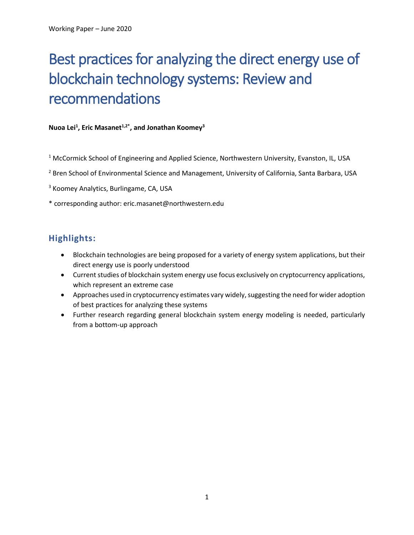# Best practices for analyzing the direct energy use of blockchain technology systems: Review and recommendations

#### **Nuoa Lei1 , Eric Masanet1,2\* , and Jonathan Koomey3**

 $1$  McCormick School of Engineering and Applied Science, Northwestern University, Evanston, IL, USA

<sup>2</sup> Bren School of Environmental Science and Management, University of California, Santa Barbara, USA

<sup>3</sup> Koomey Analytics, Burlingame, CA, USA

\* corresponding author: eric.masanet@northwestern.edu

# **Highlights:**

- Blockchain technologies are being proposed for a variety of energy system applications, but their direct energy use is poorly understood
- Current studies of blockchain system energy use focus exclusively on cryptocurrency applications, which represent an extreme case
- Approaches used in cryptocurrency estimates vary widely, suggesting the need for wider adoption of best practices for analyzing these systems
- Further research regarding general blockchain system energy modeling is needed, particularly from a bottom-up approach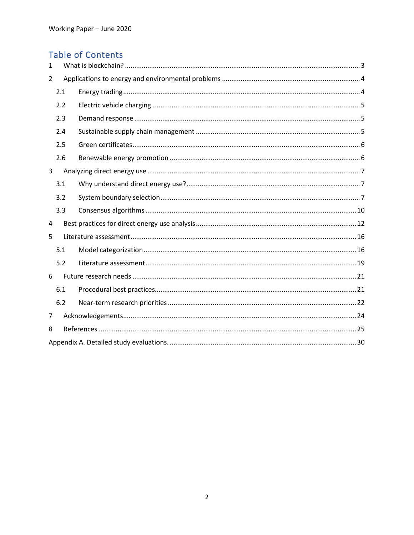# Table of Contents

| 1              |     |  |  |  |  |
|----------------|-----|--|--|--|--|
| $\overline{2}$ |     |  |  |  |  |
|                | 2.1 |  |  |  |  |
|                | 2.2 |  |  |  |  |
|                | 2.3 |  |  |  |  |
|                | 2.4 |  |  |  |  |
|                | 2.5 |  |  |  |  |
|                | 2.6 |  |  |  |  |
| 3              |     |  |  |  |  |
|                | 3.1 |  |  |  |  |
|                | 3.2 |  |  |  |  |
|                | 3.3 |  |  |  |  |
| 4              |     |  |  |  |  |
| 5              |     |  |  |  |  |
|                | 5.1 |  |  |  |  |
|                | 5.2 |  |  |  |  |
| 6              |     |  |  |  |  |
|                | 6.1 |  |  |  |  |
|                | 6.2 |  |  |  |  |
| 7              |     |  |  |  |  |
| 8              |     |  |  |  |  |
|                |     |  |  |  |  |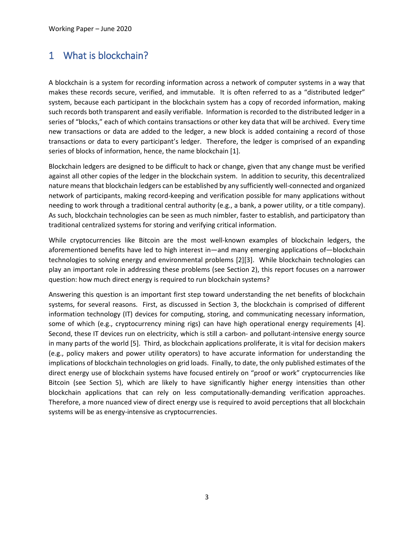# 1 What is blockchain?

A blockchain is a system for recording information across a network of computer systems in a way that makes these records secure, verified, and immutable. It is often referred to as a "distributed ledger" system, because each participant in the blockchain system has a copy of recorded information, making such records both transparent and easily verifiable. Information is recorded to the distributed ledger in a series of "blocks," each of which contains transactions or other key data that will be archived. Every time new transactions or data are added to the ledger, a new block is added containing a record of those transactions or data to every participant's ledger. Therefore, the ledger is comprised of an expanding series of blocks of information, hence, the name blockchain [1].

Blockchain ledgers are designed to be difficult to hack or change, given that any change must be verified against all other copies of the ledger in the blockchain system. In addition to security, this decentralized nature means that blockchain ledgers can be established by any sufficiently well-connected and organized network of participants, making record-keeping and verification possible for many applications without needing to work through a traditional central authority (e.g., a bank, a power utility, or a title company). As such, blockchain technologies can be seen as much nimbler, faster to establish, and participatory than traditional centralized systems for storing and verifying critical information.

While cryptocurrencies like Bitcoin are the most well-known examples of blockchain ledgers, the aforementioned benefits have led to high interest in—and many emerging applications of—blockchain technologies to solving energy and environmental problems [2][3]. While blockchain technologies can play an important role in addressing these problems (see Section 2), this report focuses on a narrower question: how much direct energy is required to run blockchain systems?

Answering this question is an important first step toward understanding the net benefits of blockchain systems, for several reasons. First, as discussed in Section 3, the blockchain is comprised of different information technology (IT) devices for computing, storing, and communicating necessary information, some of which (e.g., cryptocurrency mining rigs) can have high operational energy requirements [4]. Second, these IT devices run on electricity, which is still a carbon- and pollutant-intensive energy source in many parts of the world [5]. Third, as blockchain applications proliferate, it is vital for decision makers (e.g., policy makers and power utility operators) to have accurate information for understanding the implications of blockchain technologies on grid loads. Finally, to date, the only published estimates of the direct energy use of blockchain systems have focused entirely on "proof or work" cryptocurrencies like Bitcoin (see Section 5), which are likely to have significantly higher energy intensities than other blockchain applications that can rely on less computationally-demanding verification approaches. Therefore, a more nuanced view of direct energy use is required to avoid perceptions that all blockchain systems will be as energy-intensive as cryptocurrencies.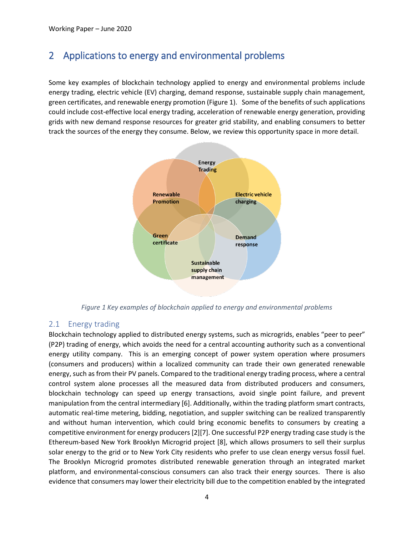# 2 Applications to energy and environmental problems

Some key examples of blockchain technology applied to energy and environmental problems include energy trading, electric vehicle (EV) charging, demand response, sustainable supply chain management, green certificates, and renewable energy promotion (Figure 1). Some of the benefits of such applications could include cost-effective local energy trading, acceleration of renewable energy generation, providing grids with new demand response resources for greater grid stability, and enabling consumers to better track the sources of the energy they consume. Below, we review this opportunity space in more detail.



*Figure 1 Key examples of blockchain applied to energy and environmental problems*

#### 2.1 Energy trading

Blockchain technology applied to distributed energy systems, such as microgrids, enables "peer to peer" (P2P) trading of energy, which avoids the need for a central accounting authority such as a conventional energy utility company. This is an emerging concept of power system operation where prosumers (consumers and producers) within a localized community can trade their own generated renewable energy, such as from their PV panels. Compared to the traditional energy trading process, where a central control system alone processes all the measured data from distributed producers and consumers, blockchain technology can speed up energy transactions, avoid single point failure, and prevent manipulation from the central intermediary [6]. Additionally, within the trading platform smart contracts, automatic real-time metering, bidding, negotiation, and suppler switching can be realized transparently and without human intervention, which could bring economic benefits to consumers by creating a competitive environment for energy producers [2][7]. One successful P2P energy trading case study is the Ethereum-based New York Brooklyn Microgrid project [8], which allows prosumers to sell their surplus solar energy to the grid or to New York City residents who prefer to use clean energy versus fossil fuel. The Brooklyn Microgrid promotes distributed renewable generation through an integrated market platform, and environmental-conscious consumers can also track their energy sources. There is also evidence that consumers may lower their electricity bill due to the competition enabled by the integrated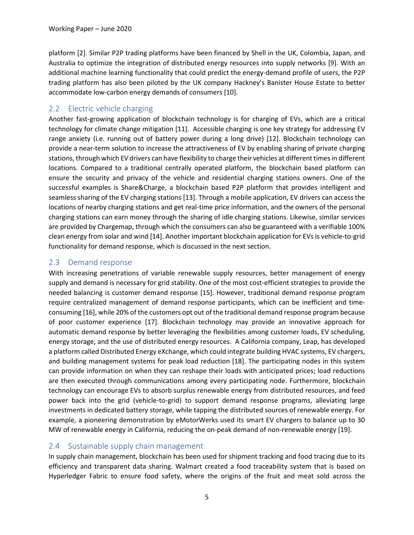platform [2]. Similar P2P trading platforms have been financed by Shell in the UK, Colombia, Japan, and Australia to optimize the integration of distributed energy resources into supply networks [9]. With an additional machine learning functionality that could predict the energy-demand profile of users, the P2P trading platform has also been piloted by the UK company Hackney's Banister House Estate to better accommodate low-carbon energy demands of consumers [10].

### 2.2 Electric vehicle charging

Another fast-growing application of blockchain technology is for charging of EVs, which are a critical technology for climate change mitigation [11]. Accessible charging is one key strategy for addressing EV range anxiety (i.e. running out of battery power during a long drive) [12]. Blockchain technology can provide a near-term solution to increase the attractiveness of EV by enabling sharing of private charging stations, through which EV drivers can have flexibility to charge their vehicles at different times in different locations. Compared to a traditional centrally operated platform, the blockchain based platform can ensure the security and privacy of the vehicle and residential charging stations owners. One of the successful examples is Share&Charge, a blockchain based P2P platform that provides intelligent and seamless sharing of the EV charging stations [13]. Through a mobile application, EV drivers can access the locations of nearby charging stations and get real-time price information, and the owners of the personal charging stations can earn money through the sharing of idle charging stations. Likewise, similar services are provided by Chargemap, through which the consumers can also be guaranteed with a verifiable 100% clean energy from solar and wind [14]. Another important blockchain application for EVs is vehicle-to-grid functionality for demand response, which is discussed in the next section.

### 2.3 Demand response

With increasing penetrations of variable renewable supply resources, better management of energy supply and demand is necessary for grid stability. One of the most cost-efficient strategies to provide the needed balancing is customer demand response [15]. However, traditional demand response program require centralized management of demand response participants, which can be inefficient and timeconsuming [16], while 20% of the customers opt out of the traditional demand response program because of poor customer experience [17]. Blockchain technology may provide an innovative approach for automatic demand response by better leveraging the flexibilities among customer loads, EV scheduling, energy storage, and the use of distributed energy resources. A California company, Leap, has developed a platform called Distributed Energy eXchange, which could integrate building HVAC systems, EV chargers, and building management systems for peak load reduction [18]. The participating nodes in this system can provide information on when they can reshape their loads with anticipated prices; load reductions are then executed through communications among every participating node. Furthermore, blockchain technology can encourage EVs to absorb surplus renewable energy from distributed resources, and feed power back into the grid (vehicle-to-grid) to support demand response programs, alleviating large investments in dedicated battery storage, while tapping the distributed sources of renewable energy. For example, a pioneering demonstration by eMotorWerks used its smart EV chargers to balance up to 30 MW of renewable energy in California, reducing the on-peak demand of non-renewable energy [19].

#### 2.4 Sustainable supply chain management

In supply chain management, blockchain has been used for shipment tracking and food tracing due to its efficiency and transparent data sharing. Walmart created a food traceability system that is based on Hyperledger Fabric to ensure food safety, where the origins of the fruit and meat sold across the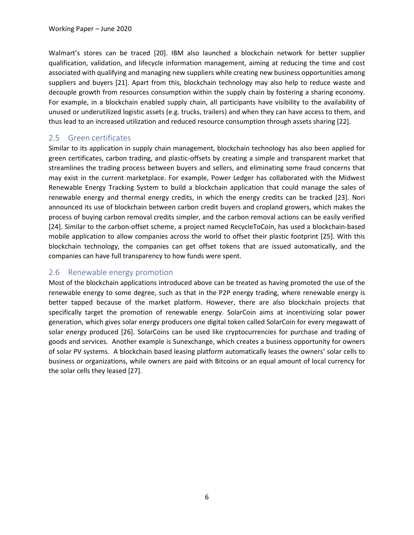Walmart's stores can be traced [20]. IBM also launched a blockchain network for better supplier qualification, validation, and lifecycle information management, aiming at reducing the time and cost associated with qualifying and managing new suppliers while creating new business opportunities among suppliers and buyers [21]. Apart from this, blockchain technology may also help to reduce waste and decouple growth from resources consumption within the supply chain by fostering a sharing economy. For example, in a blockchain enabled supply chain, all participants have visibility to the availability of unused or underutilized logistic assets (e.g. trucks, trailers) and when they can have access to them, and thus lead to an increased utilization and reduced resource consumption through assets sharing [22].

### 2.5 Green certificates

Similar to its application in supply chain management, blockchain technology has also been applied for green certificates, carbon trading, and plastic-offsets by creating a simple and transparent market that streamlines the trading process between buyers and sellers, and eliminating some fraud concerns that may exist in the current marketplace. For example, Power Ledger has collaborated with the Midwest Renewable Energy Tracking System to build a blockchain application that could manage the sales of renewable energy and thermal energy credits, in which the energy credits can be tracked [23]. Nori announced its use of blockchain between carbon credit buyers and cropland growers, which makes the process of buying carbon removal credits simpler, and the carbon removal actions can be easily verified [24]. Similar to the carbon-offset scheme, a project named RecycleToCoin, has used a blockchain-based mobile application to allow companies across the world to offset their plastic footprint [25]. With this blockchain technology, the companies can get offset tokens that are issued automatically, and the companies can have full transparency to how funds were spent.

#### 2.6 Renewable energy promotion

Most of the blockchain applications introduced above can be treated as having promoted the use of the renewable energy to some degree, such as that in the P2P energy trading, where renewable energy is better tapped because of the market platform. However, there are also blockchain projects that specifically target the promotion of renewable energy. SolarCoin aims at incentivizing solar power generation, which gives solar energy producers one digital token called SolarCoin for every megawatt of solar energy produced [26]. SolarCoins can be used like cryptocurrencies for purchase and trading of goods and services. Another example is Sunexchange, which creates a business opportunity for owners of solar PV systems. A blockchain based leasing platform automatically leases the owners' solar cells to business or organizations, while owners are paid with Bitcoins or an equal amount of local currency for the solar cells they leased [27].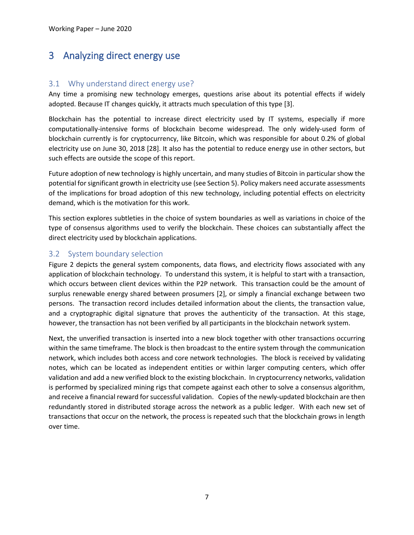# 3 Analyzing direct energy use

#### 3.1 Why understand direct energy use?

Any time a promising new technology emerges, questions arise about its potential effects if widely adopted. Because IT changes quickly, it attracts much speculation of this type [3].

Blockchain has the potential to increase direct electricity used by IT systems, especially if more computationally-intensive forms of blockchain become widespread. The only widely-used form of blockchain currently is for cryptocurrency, like Bitcoin, which was responsible for about 0.2% of global electricity use on June 30, 2018 [28]. It also has the potential to reduce energy use in other sectors, but such effects are outside the scope of this report.

Future adoption of new technology is highly uncertain, and many studies of Bitcoin in particular show the potential for significant growth in electricity use (see Section 5). Policy makers need accurate assessments of the implications for broad adoption of this new technology, including potential effects on electricity demand, which is the motivation for this work.

This section explores subtleties in the choice of system boundaries as well as variations in choice of the type of consensus algorithms used to verify the blockchain. These choices can substantially affect the direct electricity used by blockchain applications.

### 3.2 System boundary selection

Figure 2 depicts the general system components, data flows, and electricity flows associated with any application of blockchain technology. To understand this system, it is helpful to start with a transaction, which occurs between client devices within the P2P network. This transaction could be the amount of surplus renewable energy shared between prosumers [2], or simply a financial exchange between two persons. The transaction record includes detailed information about the clients, the transaction value, and a cryptographic digital signature that proves the authenticity of the transaction. At this stage, however, the transaction has not been verified by all participants in the blockchain network system.

Next, the unverified transaction is inserted into a new block together with other transactions occurring within the same timeframe. The block is then broadcast to the entire system through the communication network, which includes both access and core network technologies. The block is received by validating notes, which can be located as independent entities or within larger computing centers, which offer validation and add a new verified block to the existing blockchain. In cryptocurrency networks, validation is performed by specialized mining rigs that compete against each other to solve a consensus algorithm, and receive a financial reward for successful validation. Copies of the newly-updated blockchain are then redundantly stored in distributed storage across the network as a public ledger. With each new set of transactions that occur on the network, the process is repeated such that the blockchain grows in length over time.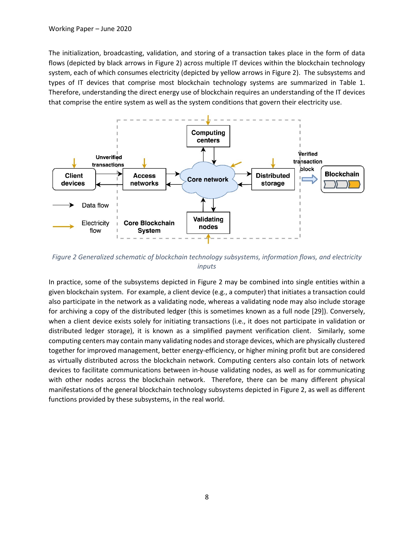The initialization, broadcasting, validation, and storing of a transaction takes place in the form of data flows (depicted by black arrows in Figure 2) across multiple IT devices within the blockchain technology system, each of which consumes electricity (depicted by yellow arrows in Figure 2). The subsystems and types of IT devices that comprise most blockchain technology systems are summarized in Table 1. Therefore, understanding the direct energy use of blockchain requires an understanding of the IT devices that comprise the entire system as well as the system conditions that govern their electricity use.



*Figure 2 Generalized schematic of blockchain technology subsystems, information flows, and electricity inputs*

In practice, some of the subsystems depicted in Figure 2 may be combined into single entities within a given blockchain system. For example, a client device (e.g., a computer) that initiates a transaction could also participate in the network as a validating node, whereas a validating node may also include storage for archiving a copy of the distributed ledger (this is sometimes known as a full node [29]). Conversely, when a client device exists solely for initiating transactions (i.e., it does not participate in validation or distributed ledger storage), it is known as a simplified payment verification client. Similarly, some computing centers may contain many validating nodes and storage devices, which are physically clustered together for improved management, better energy-efficiency, or higher mining profit but are considered as virtually distributed across the blockchain network. Computing centers also contain lots of network devices to facilitate communications between in-house validating nodes, as well as for communicating with other nodes across the blockchain network. Therefore, there can be many different physical manifestations of the general blockchain technology subsystems depicted in Figure 2, as well as different functions provided by these subsystems, in the real world.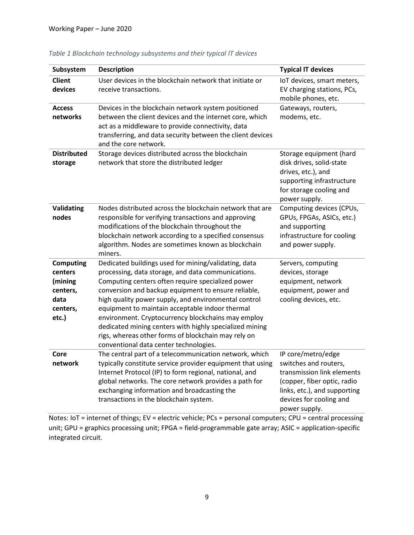| Subsystem                                                                       | <b>Description</b>                                                                                                                                                                                                                                                                                                                                                                                                                                                                                                                                  | <b>Typical IT devices</b>                                                                                                                                                            |
|---------------------------------------------------------------------------------|-----------------------------------------------------------------------------------------------------------------------------------------------------------------------------------------------------------------------------------------------------------------------------------------------------------------------------------------------------------------------------------------------------------------------------------------------------------------------------------------------------------------------------------------------------|--------------------------------------------------------------------------------------------------------------------------------------------------------------------------------------|
| <b>Client</b><br>devices                                                        | User devices in the blockchain network that initiate or<br>receive transactions.                                                                                                                                                                                                                                                                                                                                                                                                                                                                    | IoT devices, smart meters,<br>EV charging stations, PCs,<br>mobile phones, etc.                                                                                                      |
| <b>Access</b><br>networks                                                       | Devices in the blockchain network system positioned<br>between the client devices and the internet core, which<br>act as a middleware to provide connectivity, data<br>transferring, and data security between the client devices<br>and the core network.                                                                                                                                                                                                                                                                                          | Gateways, routers,<br>modems, etc.                                                                                                                                                   |
| <b>Distributed</b><br>storage                                                   | Storage devices distributed across the blockchain<br>network that store the distributed ledger                                                                                                                                                                                                                                                                                                                                                                                                                                                      | Storage equipment (hard<br>disk drives, solid-state<br>drives, etc.), and<br>supporting infrastructure<br>for storage cooling and<br>power supply.                                   |
| Validating<br>nodes                                                             | Nodes distributed across the blockchain network that are<br>responsible for verifying transactions and approving<br>modifications of the blockchain throughout the<br>blockchain network according to a specified consensus<br>algorithm. Nodes are sometimes known as blockchain<br>miners.                                                                                                                                                                                                                                                        | Computing devices (CPUs,<br>GPUs, FPGAs, ASICs, etc.)<br>and supporting<br>infrastructure for cooling<br>and power supply.                                                           |
| <b>Computing</b><br>centers<br>(mining<br>centers,<br>data<br>centers,<br>etc.) | Dedicated buildings used for mining/validating, data<br>processing, data storage, and data communications.<br>Computing centers often require specialized power<br>conversion and backup equipment to ensure reliable,<br>high quality power supply, and environmental control<br>equipment to maintain acceptable indoor thermal<br>environment. Cryptocurrency blockchains may employ<br>dedicated mining centers with highly specialized mining<br>rigs, whereas other forms of blockchain may rely on<br>conventional data center technologies. | Servers, computing<br>devices, storage<br>equipment, network<br>equipment, power and<br>cooling devices, etc.                                                                        |
| Core<br>network                                                                 | The central part of a telecommunication network, which<br>typically constitute service provider equipment that using<br>Internet Protocol (IP) to form regional, national, and<br>global networks. The core network provides a path for<br>exchanging information and broadcasting the<br>transactions in the blockchain system.                                                                                                                                                                                                                    | IP core/metro/edge<br>switches and routers,<br>transmission link elements<br>(copper, fiber optic, radio<br>links, etc.), and supporting<br>devices for cooling and<br>power supply. |

#### *Table 1 Blockchain technology subsystems and their typical IT devices*

Notes: IoT = internet of things; EV = electric vehicle; PCs = personal computers; CPU = central processing unit; GPU = graphics processing unit; FPGA = field-programmable gate array; ASIC = application-specific integrated circuit.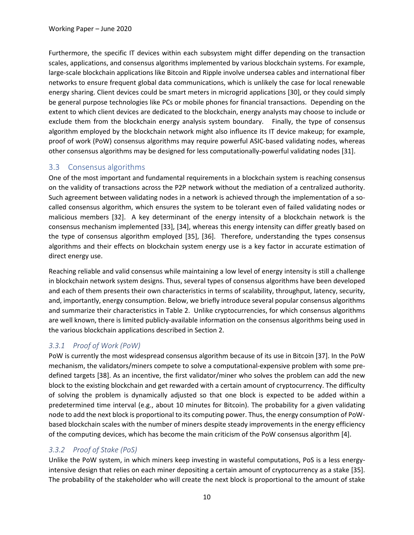Furthermore, the specific IT devices within each subsystem might differ depending on the transaction scales, applications, and consensus algorithms implemented by various blockchain systems. For example, large-scale blockchain applications like Bitcoin and Ripple involve undersea cables and international fiber networks to ensure frequent global data communications, which is unlikely the case for local renewable energy sharing. Client devices could be smart meters in microgrid applications [30], or they could simply be general purpose technologies like PCs or mobile phones for financial transactions. Depending on the extent to which client devices are dedicated to the blockchain, energy analysts may choose to include or exclude them from the blockchain energy analysis system boundary. Finally, the type of consensus algorithm employed by the blockchain network might also influence its IT device makeup; for example, proof of work (PoW) consensus algorithms may require powerful ASIC-based validating nodes, whereas other consensus algorithms may be designed for less computationally-powerful validating nodes [31].

### 3.3 Consensus algorithms

One of the most important and fundamental requirements in a blockchain system is reaching consensus on the validity of transactions across the P2P network without the mediation of a centralized authority. Such agreement between validating nodes in a network is achieved through the implementation of a socalled consensus algorithm, which ensures the system to be tolerant even of failed validating nodes or malicious members [32]. A key determinant of the energy intensity of a blockchain network is the consensus mechanism implemented [33], [34], whereas this energy intensity can differ greatly based on the type of consensus algorithm employed [35], [36]. Therefore, understanding the types consensus algorithms and their effects on blockchain system energy use is a key factor in accurate estimation of direct energy use.

Reaching reliable and valid consensus while maintaining a low level of energy intensity is still a challenge in blockchain network system designs. Thus, several types of consensus algorithms have been developed and each of them presents their own characteristics in terms of scalability, throughput, latency, security, and, importantly, energy consumption. Below, we briefly introduce several popular consensus algorithms and summarize their characteristics in Table 2. Unlike cryptocurrencies, for which consensus algorithms are well known, there is limited publicly-available information on the consensus algorithms being used in the various blockchain applications described in Section 2.

#### *3.3.1 Proof of Work (PoW)*

PoW is currently the most widespread consensus algorithm because of its use in Bitcoin [37]. In the PoW mechanism, the validators/miners compete to solve a computational-expensive problem with some predefined targets [38]. As an incentive, the first validator/miner who solves the problem can add the new block to the existing blockchain and get rewarded with a certain amount of cryptocurrency. The difficulty of solving the problem is dynamically adjusted so that one block is expected to be added within a predetermined time interval (e.g., about 10 minutes for Bitcoin). The probability for a given validating node to add the next block is proportional to its computing power. Thus, the energy consumption of PoWbased blockchain scales with the number of miners despite steady improvements in the energy efficiency of the computing devices, which has become the main criticism of the PoW consensus algorithm [4].

### *3.3.2 Proof of Stake (PoS)*

Unlike the PoW system, in which miners keep investing in wasteful computations, PoS is a less energyintensive design that relies on each miner depositing a certain amount of cryptocurrency as a stake [35]. The probability of the stakeholder who will create the next block is proportional to the amount of stake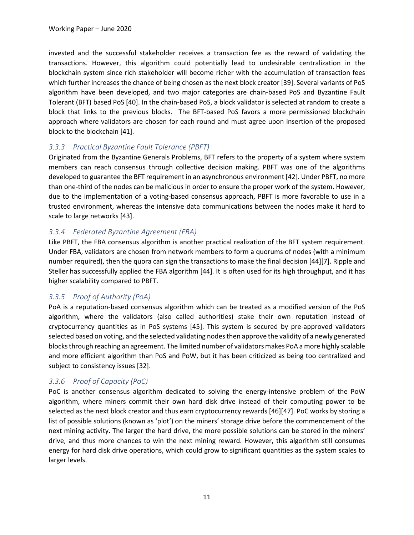invested and the successful stakeholder receives a transaction fee as the reward of validating the transactions. However, this algorithm could potentially lead to undesirable centralization in the blockchain system since rich stakeholder will become richer with the accumulation of transaction fees which further increases the chance of being chosen as the next block creator [39]. Several variants of PoS algorithm have been developed, and two major categories are chain-based PoS and Byzantine Fault Tolerant (BFT) based PoS [40]. In the chain-based PoS, a block validator is selected at random to create a block that links to the previous blocks. The BFT-based PoS favors a more permissioned blockchain approach where validators are chosen for each round and must agree upon insertion of the proposed block to the blockchain [41].

#### *3.3.3 Practical Byzantine Fault Tolerance (PBFT)*

Originated from the Byzantine Generals Problems, BFT refers to the property of a system where system members can reach consensus through collective decision making. PBFT was one of the algorithms developed to guarantee the BFT requirement in an asynchronous environment [42]. Under PBFT, no more than one-third of the nodes can be malicious in order to ensure the proper work of the system. However, due to the implementation of a voting-based consensus approach, PBFT is more favorable to use in a trusted environment, whereas the intensive data communications between the nodes make it hard to scale to large networks [43].

#### *3.3.4 Federated Byzantine Agreement (FBA)*

Like PBFT, the FBA consensus algorithm is another practical realization of the BFT system requirement. Under FBA, validators are chosen from network members to form a quorums of nodes (with a minimum number required), then the quora can sign the transactions to make the final decision [44][7]. Ripple and Steller has successfully applied the FBA algorithm [44]. It is often used for its high throughput, and it has higher scalability compared to PBFT.

#### *3.3.5 Proof of Authority (PoA)*

PoA is a reputation-based consensus algorithm which can be treated as a modified version of the PoS algorithm, where the validators (also called authorities) stake their own reputation instead of cryptocurrency quantities as in PoS systems [45]. This system is secured by pre-approved validators selected based on voting, and the selected validating nodes then approve the validity of a newly generated blocksthrough reaching an agreement. The limited number of validatorsmakes PoA a more highly scalable and more efficient algorithm than PoS and PoW, but it has been criticized as being too centralized and subject to consistency issues [32].

#### *3.3.6 Proof of Capacity (PoC)*

PoC is another consensus algorithm dedicated to solving the energy-intensive problem of the PoW algorithm, where miners commit their own hard disk drive instead of their computing power to be selected as the next block creator and thus earn cryptocurrency rewards [46][47]. PoC works by storing a list of possible solutions (known as 'plot') on the miners' storage drive before the commencement of the next mining activity. The larger the hard drive, the more possible solutions can be stored in the miners' drive, and thus more chances to win the next mining reward. However, this algorithm still consumes energy for hard disk drive operations, which could grow to significant quantities as the system scales to larger levels.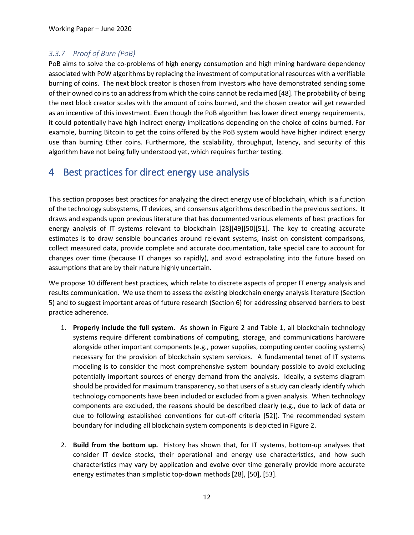### *3.3.7 Proof of Burn (PoB)*

PoB aims to solve the co-problems of high energy consumption and high mining hardware dependency associated with PoW algorithms by replacing the investment of computational resources with a verifiable burning of coins. The next block creator is chosen from investors who have demonstrated sending some of their owned coins to an address from which the coins cannot be reclaimed [48]. The probability of being the next block creator scales with the amount of coins burned, and the chosen creator will get rewarded as an incentive of this investment. Even though the PoB algorithm has lower direct energy requirements, it could potentially have high indirect energy implications depending on the choice of coins burned. For example, burning Bitcoin to get the coins offered by the PoB system would have higher indirect energy use than burning Ether coins. Furthermore, the scalability, throughput, latency, and security of this algorithm have not being fully understood yet, which requires further testing.

# 4 Best practices for direct energy use analysis

This section proposes best practices for analyzing the direct energy use of blockchain, which is a function of the technology subsystems, IT devices, and consensus algorithms described in the previous sections. It draws and expands upon previous literature that has documented various elements of best practices for energy analysis of IT systems relevant to blockchain [28][49][50][51]. The key to creating accurate estimates is to draw sensible boundaries around relevant systems, insist on consistent comparisons, collect measured data, provide complete and accurate documentation, take special care to account for changes over time (because IT changes so rapidly), and avoid extrapolating into the future based on assumptions that are by their nature highly uncertain.

We propose 10 different best practices, which relate to discrete aspects of proper IT energy analysis and results communication. We use them to assess the existing blockchain energy analysis literature (Section 5) and to suggest important areas of future research (Section 6) for addressing observed barriers to best practice adherence.

- 1. **Properly include the full system.** As shown in Figure 2 and Table 1, all blockchain technology systems require different combinations of computing, storage, and communications hardware alongside other important components (e.g., power supplies, computing center cooling systems) necessary for the provision of blockchain system services. A fundamental tenet of IT systems modeling is to consider the most comprehensive system boundary possible to avoid excluding potentially important sources of energy demand from the analysis. Ideally, a systems diagram should be provided for maximum transparency, so that users of a study can clearly identify which technology components have been included or excluded from a given analysis. When technology components are excluded, the reasons should be described clearly (e.g., due to lack of data or due to following established conventions for cut-off criteria [52]). The recommended system boundary for including all blockchain system components is depicted in Figure 2.
- 2. **Build from the bottom up.** History has shown that, for IT systems, bottom-up analyses that consider IT device stocks, their operational and energy use characteristics, and how such characteristics may vary by application and evolve over time generally provide more accurate energy estimates than simplistic top-down methods [28], [50], [53].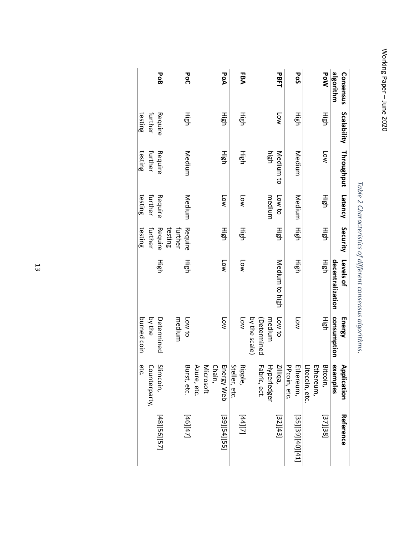Working Paper Working Paper-June 2020 June 2020

| Consensus   | Scalability    | Throughput | <b>Latency</b>       | Security | Levels of        | <b>Energy</b> | Application   | Reference                 |
|-------------|----------------|------------|----------------------|----------|------------------|---------------|---------------|---------------------------|
| algorithm   |                |            |                      |          | decentralization | consumption   | examples      |                           |
| <b>DoW</b>  | 雲              | N          | High                 | 雲        | High             | 들이            | Bitcoin,      | [37][38]                  |
|             |                |            |                      |          |                  |               | Ethereum,     |                           |
|             |                |            |                      |          |                  |               | itecoin, etc. |                           |
| <b>PoS</b>  | 雲              | Medium     | Medium               | High     | 雲                | Low           | Ethereum,     | [25][39][40][41]          |
|             |                |            |                      |          |                  |               | PPcoin, etc.  |                           |
| <b>PBFT</b> | N <sub>0</sub> | Medium to  | Low to               | 雪        | Medium to high   | Low to        | Zilliqa,      | [32][43]                  |
|             |                | high       | medium               |          |                  | medium        | Hyperledger   |                           |
|             |                |            |                      |          |                  | (Determined   | abric, ect.   |                           |
|             |                |            |                      |          |                  | by the scale  |               |                           |
| EBA         | 連              | 德          | <b>Low</b>           | High     | N                | <b>Low</b>    | Ripple,       | $\left[ \Delta 1 \right]$ |
|             |                |            |                      |          |                  |               | Steller, etc. |                           |
| PoA         | 雲              | 雲          | $N$ o $\overline{C}$ | 틀        | N                | Low           | Energy Web    | [53][54][55]              |
|             |                |            |                      |          |                  |               | Chain,        |                           |
|             |                |            |                      |          |                  |               | Microsoft     |                           |
|             |                |            |                      |          |                  |               | Azure, etc.   |                           |
| <b>PoC</b>  | 雲              | Medium     | Medium               | Require  | 唱                | Low to        | Burst, etc.   | $[74]$ [47]               |
|             |                |            |                      | further  |                  | medium        |               |                           |
|             |                |            |                      | testing  |                  |               |               |                           |
| <b>PoB</b>  | Require        | Require    | Require              | Require  | 高                | Determined    | S<br>limcoin, | [48][56][57]              |
|             | further        | further    | further              | further  |                  | by the        | Counterparty, |                           |
|             | testing        | testing    | testing              | testing  |                  | burned coin   | etc.          |                           |

*Table 2 Characteristics of different consensus algorithms*

.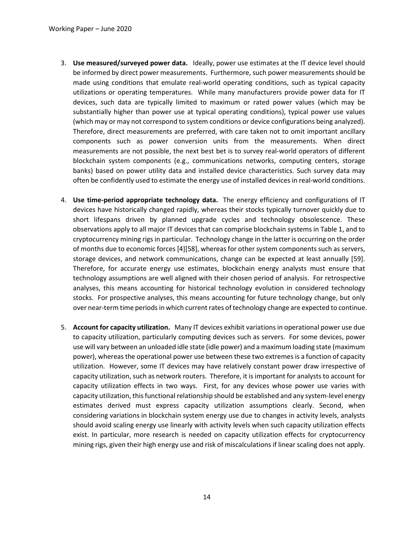- 3. **Use measured/surveyed power data.** Ideally, power use estimates at the IT device level should be informed by direct power measurements. Furthermore, such power measurements should be made using conditions that emulate real-world operating conditions, such as typical capacity utilizations or operating temperatures. While many manufacturers provide power data for IT devices, such data are typically limited to maximum or rated power values (which may be substantially higher than power use at typical operating conditions), typical power use values (which may or may not correspond to system conditions or device configurations being analyzed). Therefore, direct measurements are preferred, with care taken not to omit important ancillary components such as power conversion units from the measurements. When direct measurements are not possible, the next best bet is to survey real-world operators of different blockchain system components (e.g., communications networks, computing centers, storage banks) based on power utility data and installed device characteristics. Such survey data may often be confidently used to estimate the energy use of installed devices in real-world conditions.
- 4. **Use time-period appropriate technology data.** The energy efficiency and configurations of IT devices have historically changed rapidly, whereas their stocks typically turnover quickly due to short lifespans driven by planned upgrade cycles and technology obsolescence. These observations apply to all major IT devices that can comprise blockchain systems in Table 1, and to cryptocurrency mining rigs in particular. Technology change in the latter is occurring on the order of months due to economic forces [4][58], whereas for other system components such as servers, storage devices, and network communications, change can be expected at least annually [59]. Therefore, for accurate energy use estimates, blockchain energy analysts must ensure that technology assumptions are well aligned with their chosen period of analysis. For retrospective analyses, this means accounting for historical technology evolution in considered technology stocks. For prospective analyses, this means accounting for future technology change, but only over near-term time periods in which current rates of technology change are expected to continue.
- 5. **Account for capacity utilization.** Many IT devices exhibit variations in operational power use due to capacity utilization, particularly computing devices such as servers. For some devices, power use will vary between an unloaded idle state (idle power) and a maximum loading state (maximum power), whereas the operational power use between these two extremes is a function of capacity utilization. However, some IT devices may have relatively constant power draw irrespective of capacity utilization, such as network routers. Therefore, it is important for analysts to account for capacity utilization effects in two ways. First, for any devices whose power use varies with capacity utilization, this functional relationship should be established and any system-level energy estimates derived must express capacity utilization assumptions clearly. Second, when considering variations in blockchain system energy use due to changes in activity levels, analysts should avoid scaling energy use linearly with activity levels when such capacity utilization effects exist. In particular, more research is needed on capacity utilization effects for cryptocurrency mining rigs, given their high energy use and risk of miscalculations if linear scaling does not apply.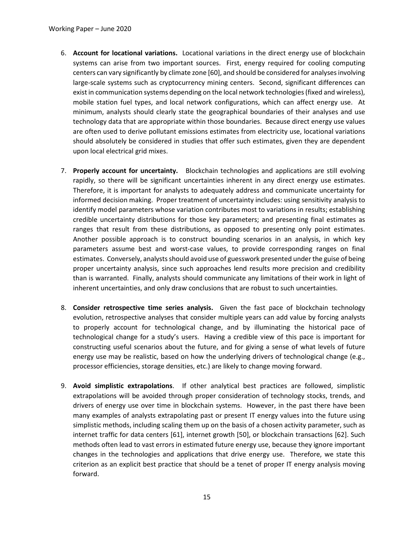- 6. **Account for locational variations.** Locational variations in the direct energy use of blockchain systems can arise from two important sources. First, energy required for cooling computing centers can vary significantly by climate zone [60], and should be considered for analyses involving large-scale systems such as cryptocurrency mining centers. Second, significant differences can exist in communication systems depending on the local network technologies (fixed and wireless), mobile station fuel types, and local network configurations, which can affect energy use. At minimum, analysts should clearly state the geographical boundaries of their analyses and use technology data that are appropriate within those boundaries. Because direct energy use values are often used to derive pollutant emissions estimates from electricity use, locational variations should absolutely be considered in studies that offer such estimates, given they are dependent upon local electrical grid mixes.
- 7. **Properly account for uncertainty.** Blockchain technologies and applications are still evolving rapidly, so there will be significant uncertainties inherent in any direct energy use estimates. Therefore, it is important for analysts to adequately address and communicate uncertainty for informed decision making. Proper treatment of uncertainty includes: using sensitivity analysis to identify model parameters whose variation contributes most to variations in results; establishing credible uncertainty distributions for those key parameters; and presenting final estimates as ranges that result from these distributions, as opposed to presenting only point estimates. Another possible approach is to construct bounding scenarios in an analysis, in which key parameters assume best and worst-case values, to provide corresponding ranges on final estimates. Conversely, analysts should avoid use of guesswork presented under the guise of being proper uncertainty analysis, since such approaches lend results more precision and credibility than is warranted. Finally, analysts should communicate any limitations of their work in light of inherent uncertainties, and only draw conclusions that are robust to such uncertainties.
- 8. **Consider retrospective time series analysis.** Given the fast pace of blockchain technology evolution, retrospective analyses that consider multiple years can add value by forcing analysts to properly account for technological change, and by illuminating the historical pace of technological change for a study's users. Having a credible view of this pace is important for constructing useful scenarios about the future, and for giving a sense of what levels of future energy use may be realistic, based on how the underlying drivers of technological change (e.g., processor efficiencies, storage densities, etc.) are likely to change moving forward.
- 9. **Avoid simplistic extrapolations**. If other analytical best practices are followed, simplistic extrapolations will be avoided through proper consideration of technology stocks, trends, and drivers of energy use over time in blockchain systems. However, in the past there have been many examples of analysts extrapolating past or present IT energy values into the future using simplistic methods, including scaling them up on the basis of a chosen activity parameter, such as internet traffic for data centers [61], internet growth [50], or blockchain transactions [62]. Such methods often lead to vast errors in estimated future energy use, because they ignore important changes in the technologies and applications that drive energy use. Therefore, we state this criterion as an explicit best practice that should be a tenet of proper IT energy analysis moving forward.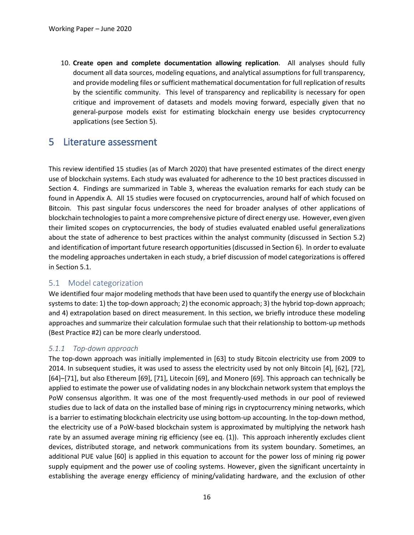10. **Create open and complete documentation allowing replication**. All analyses should fully document all data sources, modeling equations, and analytical assumptions for full transparency, and provide modeling files or sufficient mathematical documentation for full replication of results by the scientific community. This level of transparency and replicability is necessary for open critique and improvement of datasets and models moving forward, especially given that no general-purpose models exist for estimating blockchain energy use besides cryptocurrency applications (see Section 5).

# 5 Literature assessment

This review identified 15 studies (as of March 2020) that have presented estimates of the direct energy use of blockchain systems. Each study was evaluated for adherence to the 10 best practices discussed in Section 4. Findings are summarized in Table 3, whereas the evaluation remarks for each study can be found in Appendix A. All 15 studies were focused on cryptocurrencies, around half of which focused on Bitcoin. This past singular focus underscores the need for broader analyses of other applications of blockchain technologiesto paint a more comprehensive picture of direct energy use. However, even given their limited scopes on cryptocurrencies, the body of studies evaluated enabled useful generalizations about the state of adherence to best practices within the analyst community (discussed in Section 5.2) and identification of important future research opportunities (discussed in Section 6). In order to evaluate the modeling approaches undertaken in each study, a brief discussion of model categorizations is offered in Section 5.1.

#### 5.1 Model categorization

We identified four major modeling methods that have been used to quantify the energy use of blockchain systems to date: 1) the top-down approach; 2) the economic approach; 3) the hybrid top-down approach; and 4) extrapolation based on direct measurement. In this section, we briefly introduce these modeling approaches and summarize their calculation formulae such that their relationship to bottom-up methods (Best Practice #2) can be more clearly understood.

#### *5.1.1 Top-down approach*

The top-down approach was initially implemented in [63] to study Bitcoin electricity use from 2009 to 2014. In subsequent studies, it was used to assess the electricity used by not only Bitcoin [4], [62], [72], [64]–[71], but also Ethereum [69], [71], Litecoin [69], and Monero [69]. This approach can technically be applied to estimate the power use of validating nodes in any blockchain network system that employs the PoW consensus algorithm. It was one of the most frequently-used methods in our pool of reviewed studies due to lack of data on the installed base of mining rigs in cryptocurrency mining networks, which is a barrier to estimating blockchain electricity use using bottom-up accounting. In the top-down method, the electricity use of a PoW-based blockchain system is approximated by multiplying the network hash rate by an assumed average mining rig efficiency (see eq. (1)). This approach inherently excludes client devices, distributed storage, and network communications from its system boundary. Sometimes, an additional PUE value [60] is applied in this equation to account for the power loss of mining rig power supply equipment and the power use of cooling systems. However, given the significant uncertainty in establishing the average energy efficiency of mining/validating hardware, and the exclusion of other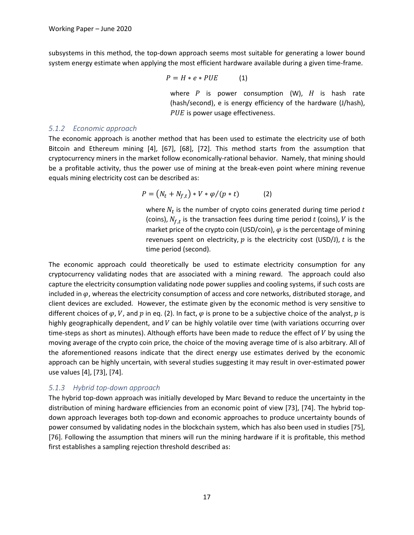subsystems in this method, the top-down approach seems most suitable for generating a lower bound system energy estimate when applying the most efficient hardware available during a given time-frame.

$$
P = H \ast e \ast PUE \tag{1}
$$

where  $P$  is power consumption (W),  $H$  is hash rate (hash/second), e is energy efficiency of the hardware (J/hash), PUE is power usage effectiveness.

#### *5.1.2 Economic approach*

The economic approach is another method that has been used to estimate the electricity use of both Bitcoin and Ethereum mining [4], [67], [68], [72]. This method starts from the assumption that cryptocurrency miners in the market follow economically-rational behavior. Namely, that mining should be a profitable activity, thus the power use of mining at the break-even point where mining revenue equals mining electricity cost can be described as:

$$
P = (N_t + N_{f,t}) * V * \varphi / (p * t) \tag{2}
$$

where  $N_t$  is the number of crypto coins generated during time period t (coins),  $N_{f,t}$  is the transaction fees during time period t (coins), V is the market price of the crypto coin (USD/coin),  $\varphi$  is the percentage of mining revenues spent on electricity,  $p$  is the electricity cost (USD/J),  $t$  is the time period (second).

The economic approach could theoretically be used to estimate electricity consumption for any cryptocurrency validating nodes that are associated with a mining reward. The approach could also capture the electricity consumption validating node power supplies and cooling systems, if such costs are included in  $\varphi$ , whereas the electricity consumption of access and core networks, distributed storage, and client devices are excluded. However, the estimate given by the economic method is very sensitive to different choices of  $\varphi$ , V, and p in eq. (2). In fact,  $\varphi$  is prone to be a subjective choice of the analyst, p is highly geographically dependent, and  $V$  can be highly volatile over time (with variations occurring over time-steps as short as minutes). Although efforts have been made to reduce the effect of  $V$  by using the moving average of the crypto coin price, the choice of the moving average time of is also arbitrary. All of the aforementioned reasons indicate that the direct energy use estimates derived by the economic approach can be highly uncertain, with several studies suggesting it may result in over-estimated power use values [4], [73], [74].

#### *5.1.3 Hybrid top-down approach*

The hybrid top-down approach was initially developed by Marc Bevand to reduce the uncertainty in the distribution of mining hardware efficiencies from an economic point of view [73], [74]. The hybrid topdown approach leverages both top-down and economic approaches to produce uncertainty bounds of power consumed by validating nodes in the blockchain system, which has also been used in studies [75], [76]. Following the assumption that miners will run the mining hardware if it is profitable, this method first establishes a sampling rejection threshold described as: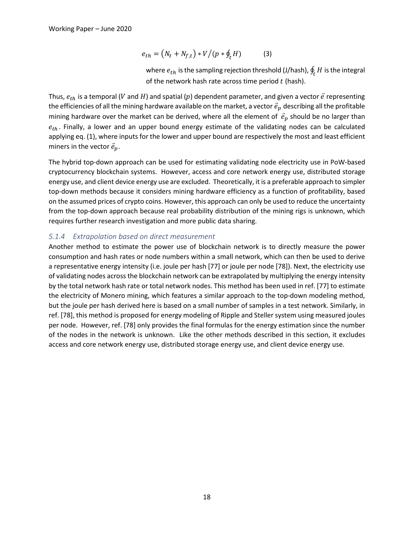$$
e_{th} = (N_t + N_{f,t}) * V / (p * \oint_t H)
$$
 (3)

where  $e_{th}$  is the sampling rejection threshold (J/hash),  $\oint_t H$  is the integral of the network hash rate across time period  $t$  (hash).

Thus,  $e_{th}$  is a temporal (V and H) and spatial (p) dependent parameter, and given a vector  $\vec{e}$  representing the efficiencies of all the mining hardware available on the market, a vector  $\vec{e}_p$  describing all the profitable mining hardware over the market can be derived, where all the element of  $\vec{e}_p$  should be no larger than  $e_{th}$ . Finally, a lower and an upper bound energy estimate of the validating nodes can be calculated applying eq. (1), where inputs for the lower and upper bound are respectively the most and least efficient miners in the vector  $\vec{e}_p$ .

The hybrid top-down approach can be used for estimating validating node electricity use in PoW-based cryptocurrency blockchain systems. However, access and core network energy use, distributed storage energy use, and client device energy use are excluded. Theoretically, it is a preferable approach to simpler top-down methods because it considers mining hardware efficiency as a function of profitability, based on the assumed prices of crypto coins. However, this approach can only be used to reduce the uncertainty from the top-down approach because real probability distribution of the mining rigs is unknown, which requires further research investigation and more public data sharing.

#### *5.1.4 Extrapolation based on direct measurement*

Another method to estimate the power use of blockchain network is to directly measure the power consumption and hash rates or node numbers within a small network, which can then be used to derive a representative energy intensity (i.e. joule per hash [77] or joule per node [78]). Next, the electricity use of validating nodes across the blockchain network can be extrapolated by multiplying the energy intensity by the total network hash rate or total network nodes. This method has been used in ref. [77] to estimate the electricity of Monero mining, which features a similar approach to the top-down modeling method, but the joule per hash derived here is based on a small number of samples in a test network. Similarly, in ref. [78], this method is proposed for energy modeling of Ripple and Steller system using measured joules per node. However, ref. [78] only provides the final formulas for the energy estimation since the number of the nodes in the network is unknown. Like the other methods described in this section, it excludes access and core network energy use, distributed storage energy use, and client device energy use.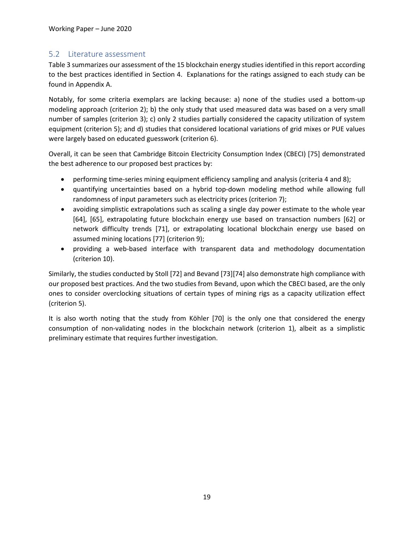### 5.2 Literature assessment

Table 3 summarizes our assessment of the 15 blockchain energy studies identified in this report according to the best practices identified in Section 4. Explanations for the ratings assigned to each study can be found in Appendix A.

Notably, for some criteria exemplars are lacking because: a) none of the studies used a bottom-up modeling approach (criterion 2); b) the only study that used measured data was based on a very small number of samples (criterion 3); c) only 2 studies partially considered the capacity utilization of system equipment (criterion 5); and d) studies that considered locational variations of grid mixes or PUE values were largely based on educated guesswork (criterion 6).

Overall, it can be seen that Cambridge Bitcoin Electricity Consumption Index (CBECI) [75] demonstrated the best adherence to our proposed best practices by:

- performing time-series mining equipment efficiency sampling and analysis (criteria 4 and 8);
- quantifying uncertainties based on a hybrid top-down modeling method while allowing full randomness of input parameters such as electricity prices (criterion 7);
- avoiding simplistic extrapolations such as scaling a single day power estimate to the whole year [64], [65], extrapolating future blockchain energy use based on transaction numbers [62] or network difficulty trends [71], or extrapolating locational blockchain energy use based on assumed mining locations [77] (criterion 9);
- providing a web-based interface with transparent data and methodology documentation (criterion 10).

Similarly, the studies conducted by Stoll [72] and Bevand [73][74] also demonstrate high compliance with our proposed best practices. And the two studies from Bevand, upon which the CBECI based, are the only ones to consider overclocking situations of certain types of mining rigs as a capacity utilization effect (criterion 5).

It is also worth noting that the study from Köhler [70] is the only one that considered the energy consumption of non-validating nodes in the blockchain network (criterion 1), albeit as a simplistic preliminary estimate that requires further investigation.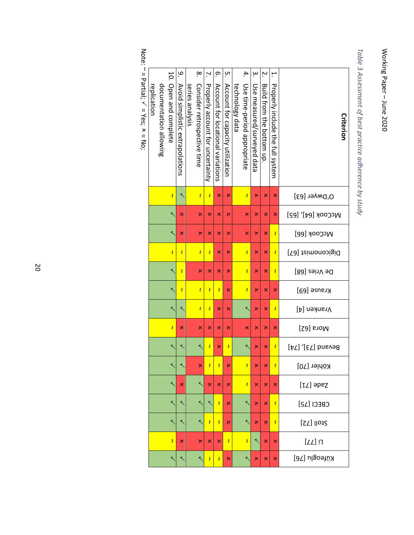Working Paper Working Paper - June 2020 June 2020

*Table 3 Assessment of best practice adherence by study*

|             |                        |                         | مِ                              |                 | .∝                          | <sup>N</sup> .                   | ō.                                | ŗч                               |                 | 4.                          | $\dot{\mathsf{e}}$         | Ņ.                        | ٻ                                       |                           |
|-------------|------------------------|-------------------------|---------------------------------|-----------------|-----------------------------|----------------------------------|-----------------------------------|----------------------------------|-----------------|-----------------------------|----------------------------|---------------------------|-----------------------------------------|---------------------------|
| replication | documentation allowing | 10. Open and complete   | Avoid simplistic extrapolations | series analysis | Consider retrospective time | Properly account for uncertainty | Account for locational variations | Account for capacity utilization | technology data | Use time-period appropriate | Use measured/surveyed data | Build from the pottom up. | <b>Properly include the full system</b> | Criterion                 |
|             |                        | $\overline{\mathbf{c}}$ |                                 |                 | Ž                           | <b>Z</b>                         | $\overline{\mathsf{x}}$           | $\mathsf{\overline{x}}$          |                 | Z                           | $\mathsf{\overline{x}}$    | $\mathsf{\overline{x}}$   | $\mathsf{\overline{x}}$                 | O, DM/er [63]             |
|             |                        | ≺                       | $\mathsf{\overline{x}}$         |                 | $\overline{\mathsf{x}}$     | $\mathsf{\overline{x}}$          | $\overline{\mathsf{x}}$           | $\mathsf{\overline{x}}$          |                 | $\mathsf{\overline{x}}$     | $\mathsf{\overline{x}}$    | $\mathsf{\mathsf{x}}$     | ×                                       | <b>Μ</b> cCook [64], [65] |
|             |                        | ≺                       | $\pmb{\times}$                  |                 | $\mathsf{\overline{x}}$     | $\pmb{\times}$                   | ×                                 | $\mathsf{\overline{x}}$          |                 | ×                           | ×                          | $\mathsf{\overline{x}}$   | Z                                       | <b>McCook [66]</b>        |
|             |                        | Ź                       | Ž                               |                 | Ž                           | <b>Z</b>                         | $\mathsf{\overline{x}}$           | $\mathsf{\overline{x}}$          |                 | Z                           | $\mathsf{\overline{x}}$    | $\overline{\mathsf{x}}$   | <b>S</b>                                | Digiconomist [67]         |
|             |                        | ≺                       | Ż                               |                 | $\overline{\mathsf{x}}$     | $\mathsf{\overline{x}}$          | $\overline{\mathsf{x}}$           | $\mathsf{\overline{x}}$          |                 | Z                           | $\mathsf{\overline{x}}$    | $\overline{\mathsf{x}}$   | <b>S</b>                                | De Vries [68]             |
|             |                        | ≺                       | Ž                               |                 | Ž                           | <b>S</b>                         | <b>S</b>                          | $\mathsf{\overline{x}}$          |                 | S                           | ×                          | $\mathsf{\overline{x}}$   | $\pmb{\times}$                          | Krause [69]               |
|             |                        | ≺                       |                                 |                 | Ž                           | <b>Z</b>                         | $\overline{\mathsf{x}}$           | $\overline{\mathsf{x}}$          |                 | ≺                           | $\mathsf{\overline{x}}$    | $\overline{\mathsf{x}}$   | Z                                       | Vranken [4]               |
|             |                        | $\overline{\mathbf{c}}$ | $\mathsf{\overline{x}}$         |                 | $\overline{\mathsf{x}}$     | $\overline{\mathsf{x}}$          | $\overline{\mathsf{x}}$           | $\mathsf{\overline{x}}$          |                 | $\overline{\mathsf{x}}$     | $\overline{\mathsf{x}}$    | $\mathsf{\mathsf{x}}$     | ×                                       | [Sa] snoM                 |
|             |                        | ≺                       |                                 |                 | ≺                           | S                                | ×                                 | <b>S</b>                         |                 | ≺                           | ×                          | ×                         | <b>S</b>                                | [4] ([87] bnsved          |
|             |                        |                         |                                 |                 | $\overline{\mathsf{x}}$     | Z                                | <b>Z</b>                          | $\overline{\mathsf{x}}$          |                 | Z                           | ×                          | $\overline{\mathsf{x}}$   | Ś,                                      | Köhler [70]               |
|             |                        | ≺                       | $\mathsf{\overline{x}}$         |                 | ≺                           | $\mathsf{\mathsf{x}}$            | $\mathsf{\overline{x}}$           | $\mathsf{\mathsf{x}}$            |                 | <b>S</b>                    | $\mathsf{x}$               | $\mathsf{x}$              | $\pmb{\times}$                          | $[LL]$ apez               |
|             |                        | ≺                       |                                 |                 | ≺                           |                                  | $\overline{\mathbf{c}}$           | $\overline{\mathsf{x}}$          |                 | ≺                           | ×                          | $\mathsf{\overline{x}}$   | $\overline{\mathbf{c}}$                 | CBECI [12]                |
|             |                        |                         |                                 |                 |                             | <b>Z</b>                         | <b>Z</b>                          | $\overline{\mathsf{x}}$          |                 | ≺                           | $\mathsf{\overline{x}}$    | $\overline{\mathsf{x}}$   | <b>S</b>                                | <b>Stoll [72]</b>         |
|             |                        | $\overline{\mathbf{z}}$ | $\mathsf{\overline{x}}$         |                 | $\overline{\mathsf{x}}$     | $\mathsf{\mathsf{x}}$            | $\mathsf{\overline{x}}$           | $\overline{\mathbf{c}}$          |                 | Î,                          |                            | $\mathsf{\mathsf{x}}$     | $\pmb{\times}$                          | $[LL]$ וִ                 |
|             |                        |                         |                                 |                 |                             | <b>S</b>                         | <b>Z</b>                          | $\overline{\mathsf{x}}$          |                 |                             | ×                          | $\mathsf{\overline{x}}$   | $\overline{\mathsf{x}}$                 | Küfeoglu [76]             |

Note: ~ = Partial;  $\checkmark$  $=$  Yes;  $x$ = No;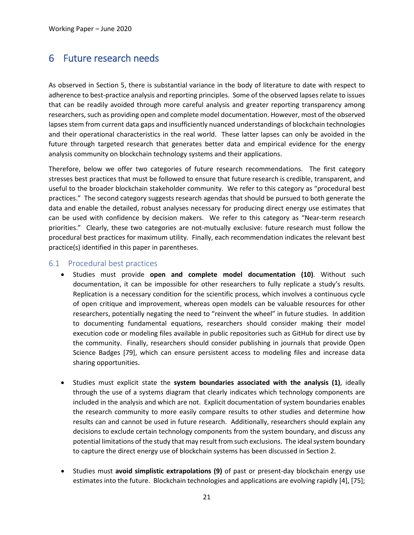# 6 Future research needs

As observed in Section 5, there is substantial variance in the body of literature to date with respect to adherence to best-practice analysis and reporting principles. Some of the observed lapses relate to issues that can be readily avoided through more careful analysis and greater reporting transparency among researchers, such as providing open and complete model documentation. However, most of the observed lapses stem from current data gaps and insufficiently nuanced understandings of blockchain technologies and their operational characteristics in the real world. These latter lapses can only be avoided in the future through targeted research that generates better data and empirical evidence for the energy analysis community on blockchain technology systems and their applications.

Therefore, below we offer two categories of future research recommendations. The first category stresses best practices that must be followed to ensure that future research is credible, transparent, and useful to the broader blockchain stakeholder community. We refer to this category as "procedural best practices." The second category suggests research agendas that should be pursued to both generate the data and enable the detailed, robust analyses necessary for producing direct energy use estimates that can be used with confidence by decision makers. We refer to this category as "Near-term research priorities." Clearly, these two categories are not-mutually exclusive: future research must follow the procedural best practices for maximum utility. Finally, each recommendation indicates the relevant best practice(s) identified in this paper in parentheses.

#### 6.1 Procedural best practices

- Studies must provide **open and complete model documentation (10)**. Without such documentation, it can be impossible for other researchers to fully replicate a study's results. Replication is a necessary condition for the scientific process, which involves a continuous cycle of open critique and improvement, whereas open models can be valuable resources for other researchers, potentially negating the need to "reinvent the wheel" in future studies. In addition to documenting fundamental equations, researchers should consider making their model execution code or modeling files available in public repositories such as GitHub for direct use by the community. Finally, researchers should consider publishing in journals that provide Open Science Badges [79], which can ensure persistent access to modeling files and increase data sharing opportunities.
- Studies must explicit state the **system boundaries associated with the analysis (1)**, ideally through the use of a systems diagram that clearly indicates which technology components are included in the analysis and which are not. Explicit documentation of system boundaries enables the research community to more easily compare results to other studies and determine how results can and cannot be used in future research. Additionally, researchers should explain any decisions to exclude certain technology components from the system boundary, and discuss any potential limitations of the study that may result from such exclusions. The ideal system boundary to capture the direct energy use of blockchain systems has been discussed in Section 2.
- Studies must **avoid simplistic extrapolations (9)** of past or present-day blockchain energy use estimates into the future. Blockchain technologies and applications are evolving rapidly [4], [75];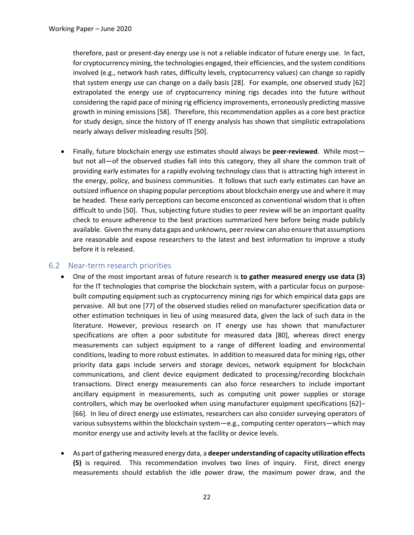therefore, past or present-day energy use is not a reliable indicator of future energy use. In fact, for cryptocurrency mining, the technologies engaged, their efficiencies, and the system conditions involved (e.g., network hash rates, difficulty levels, cryptocurrency values) can change so rapidly that system energy use can change on a daily basis [28]. For example, one observed study [62] extrapolated the energy use of cryptocurrency mining rigs decades into the future without considering the rapid pace of mining rig efficiency improvements, erroneously predicting massive growth in mining emissions [58]. Therefore, this recommendation applies as a core best practice for study design, since the history of IT energy analysis has shown that simplistic extrapolations nearly always deliver misleading results [50].

• Finally, future blockchain energy use estimates should always be **peer-reviewed**. While most but not all—of the observed studies fall into this category, they all share the common trait of providing early estimates for a rapidly evolving technology class that is attracting high interest in the energy, policy, and business communities. It follows that such early estimates can have an outsized influence on shaping popular perceptions about blockchain energy use and where it may be headed. These early perceptions can become ensconced as conventional wisdom that is often difficult to undo [50]. Thus, subjecting future studies to peer review will be an important quality check to ensure adherence to the best practices summarized here before being made publicly available. Given the many data gaps and unknowns, peer review can also ensure that assumptions are reasonable and expose researchers to the latest and best information to improve a study before it is released.

#### 6.2 Near-term research priorities

- One of the most important areas of future research is **to gather measured energy use data (3)** for the IT technologies that comprise the blockchain system, with a particular focus on purposebuilt computing equipment such as cryptocurrency mining rigs for which empirical data gaps are pervasive. All but one [77] of the observed studies relied on manufacturer specification data or other estimation techniques in lieu of using measured data, given the lack of such data in the literature. However, previous research on IT energy use has shown that manufacturer specifications are often a poor substitute for measured data [80], whereas direct energy measurements can subject equipment to a range of different loading and environmental conditions, leading to more robust estimates. In addition to measured data for mining rigs, other priority data gaps include servers and storage devices, network equipment for blockchain communications, and client device equipment dedicated to processing/recording blockchain transactions. Direct energy measurements can also force researchers to include important ancillary equipment in measurements, such as computing unit power supplies or storage controllers, which may be overlooked when using manufacturer equipment specifications [62]– [66]. In lieu of direct energy use estimates, researchers can also consider surveying operators of various subsystems within the blockchain system—e.g., computing center operators—which may monitor energy use and activity levels at the facility or device levels.
- As part of gathering measured energy data, a **deeper understanding of capacity utilization effects (5)** is required. This recommendation involves two lines of inquiry. First, direct energy measurements should establish the idle power draw, the maximum power draw, and the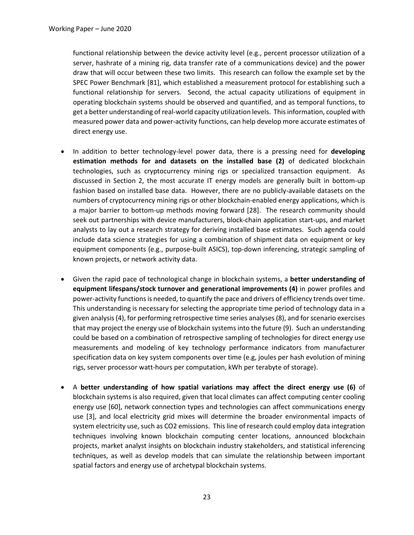functional relationship between the device activity level (e.g., percent processor utilization of a server, hashrate of a mining rig, data transfer rate of a communications device) and the power draw that will occur between these two limits. This research can follow the example set by the SPEC Power Benchmark [81], which established a measurement protocol for establishing such a functional relationship for servers. Second, the actual capacity utilizations of equipment in operating blockchain systems should be observed and quantified, and as temporal functions, to get a better understanding of real-world capacity utilization levels. This information, coupled with measured power data and power-activity functions, can help develop more accurate estimates of direct energy use.

- In addition to better technology-level power data, there is a pressing need for **developing estimation methods for and datasets on the installed base (2)** of dedicated blockchain technologies, such as cryptocurrency mining rigs or specialized transaction equipment. As discussed in Section 2, the most accurate IT energy models are generally built in bottom-up fashion based on installed base data. However, there are no publicly-available datasets on the numbers of cryptocurrency mining rigs or other blockchain-enabled energy applications, which is a major barrier to bottom-up methods moving forward [28]. The research community should seek out partnerships with device manufacturers, block-chain application start-ups, and market analysts to lay out a research strategy for deriving installed base estimates. Such agenda could include data science strategies for using a combination of shipment data on equipment or key equipment components (e.g., purpose-built ASICS), top-down inferencing, strategic sampling of known projects, or network activity data.
- Given the rapid pace of technological change in blockchain systems, a **better understanding of equipment lifespans/stock turnover and generational improvements (4)** in power profiles and power-activity functions is needed, to quantify the pace and drivers of efficiency trends over time. This understanding is necessary for selecting the appropriate time period of technology data in a given analysis (4), for performing retrospective time series analyses (8), and for scenario exercises that may project the energy use of blockchain systems into the future (9). Such an understanding could be based on a combination of retrospective sampling of technologies for direct energy use measurements and modeling of key technology performance indicators from manufacturer specification data on key system components over time (e.g, joules per hash evolution of mining rigs, server processor watt-hours per computation, kWh per terabyte of storage).
- A **better understanding of how spatial variations may affect the direct energy use (6)** of blockchain systems is also required, given that local climates can affect computing center cooling energy use [60], network connection types and technologies can affect communications energy use [3], and local electricity grid mixes will determine the broader environmental impacts of system electricity use, such as CO2 emissions. This line of research could employ data integration techniques involving known blockchain computing center locations, announced blockchain projects, market analyst insights on blockchain industry stakeholders, and statistical inferencing techniques, as well as develop models that can simulate the relationship between important spatial factors and energy use of archetypal blockchain systems.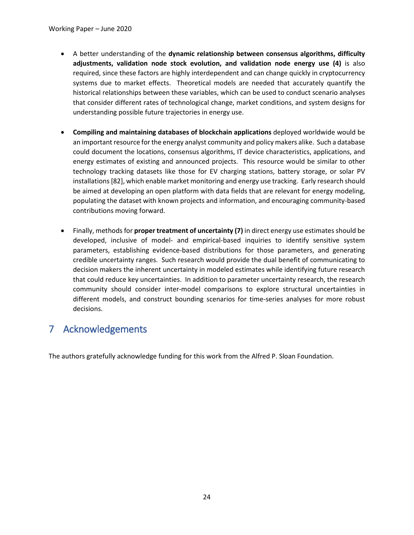- A better understanding of the **dynamic relationship between consensus algorithms, difficulty adjustments, validation node stock evolution, and validation node energy use (4)** is also required, since these factors are highly interdependent and can change quickly in cryptocurrency systems due to market effects. Theoretical models are needed that accurately quantify the historical relationships between these variables, which can be used to conduct scenario analyses that consider different rates of technological change, market conditions, and system designs for understanding possible future trajectories in energy use.
- **Compiling and maintaining databases of blockchain applications** deployed worldwide would be an important resource for the energy analyst community and policy makers alike. Such a database could document the locations, consensus algorithms, IT device characteristics, applications, and energy estimates of existing and announced projects. This resource would be similar to other technology tracking datasets like those for EV charging stations, battery storage, or solar PV installations [82], which enable market monitoring and energy use tracking. Early research should be aimed at developing an open platform with data fields that are relevant for energy modeling, populating the dataset with known projects and information, and encouraging community-based contributions moving forward.
- Finally, methods for **proper treatment of uncertainty (7)** in direct energy use estimates should be developed, inclusive of model- and empirical-based inquiries to identify sensitive system parameters, establishing evidence-based distributions for those parameters, and generating credible uncertainty ranges. Such research would provide the dual benefit of communicating to decision makers the inherent uncertainty in modeled estimates while identifying future research that could reduce key uncertainties. In addition to parameter uncertainty research, the research community should consider inter-model comparisons to explore structural uncertainties in different models, and construct bounding scenarios for time-series analyses for more robust decisions.

# 7 Acknowledgements

The authors gratefully acknowledge funding for this work from the Alfred P. Sloan Foundation.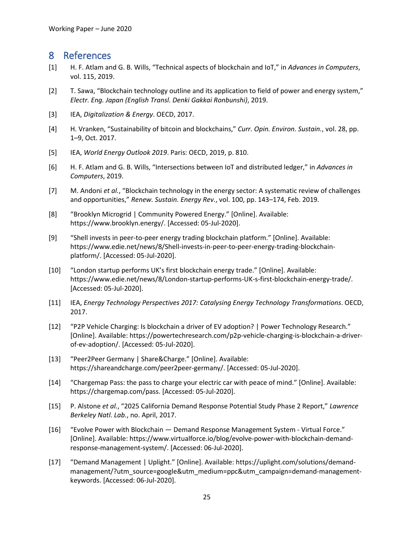# 8 References

- [1] H. F. Atlam and G. B. Wills, "Technical aspects of blockchain and IoT," in *Advances in Computers*, vol. 115, 2019.
- [2] T. Sawa, "Blockchain technology outline and its application to field of power and energy system," *Electr. Eng. Japan (English Transl. Denki Gakkai Ronbunshi)*, 2019.
- [3] IEA, *Digitalization & Energy*. OECD, 2017.
- [4] H. Vranken, "Sustainability of bitcoin and blockchains," *Curr. Opin. Environ. Sustain.*, vol. 28, pp. 1–9, Oct. 2017.
- [5] IEA, *World Energy Outlook 2019*. Paris: OECD, 2019, p. 810.
- [6] H. F. Atlam and G. B. Wills, "Intersections between IoT and distributed ledger," in *Advances in Computers*, 2019.
- [7] M. Andoni *et al.*, "Blockchain technology in the energy sector: A systematic review of challenges and opportunities," *Renew. Sustain. Energy Rev.*, vol. 100, pp. 143–174, Feb. 2019.
- [8] "Brooklyn Microgrid | Community Powered Energy." [Online]. Available: https://www.brooklyn.energy/. [Accessed: 05-Jul-2020].
- [9] "Shell invests in peer-to-peer energy trading blockchain platform." [Online]. Available: https://www.edie.net/news/8/Shell-invests-in-peer-to-peer-energy-trading-blockchainplatform/. [Accessed: 05-Jul-2020].
- [10] "London startup performs UK's first blockchain energy trade." [Online]. Available: https://www.edie.net/news/8/London-startup-performs-UK-s-first-blockchain-energy-trade/. [Accessed: 05-Jul-2020].
- [11] IEA, *Energy Technology Perspectives 2017: Catalysing Energy Technology Transformations*. OECD, 2017.
- [12] "P2P Vehicle Charging: Is blockchain a driver of EV adoption? | Power Technology Research." [Online]. Available: https://powertechresearch.com/p2p-vehicle-charging-is-blockchain-a-driverof-ev-adoption/. [Accessed: 05-Jul-2020].
- [13] "Peer2Peer Germany | Share&Charge." [Online]. Available: https://shareandcharge.com/peer2peer-germany/. [Accessed: 05-Jul-2020].
- [14] "Chargemap Pass: the pass to charge your electric car with peace of mind." [Online]. Available: https://chargemap.com/pass. [Accessed: 05-Jul-2020].
- [15] P. Alstone *et al.*, "2025 California Demand Response Potential Study Phase 2 Report," *Lawrence Berkeley Natl. Lab.*, no. April, 2017.
- [16] "Evolve Power with Blockchain Demand Response Management System Virtual Force." [Online]. Available: https://www.virtualforce.io/blog/evolve-power-with-blockchain-demandresponse-management-system/. [Accessed: 06-Jul-2020].
- [17] "Demand Management | Uplight." [Online]. Available: https://uplight.com/solutions/demandmanagement/?utm\_source=google&utm\_medium=ppc&utm\_campaign=demand-managementkeywords. [Accessed: 06-Jul-2020].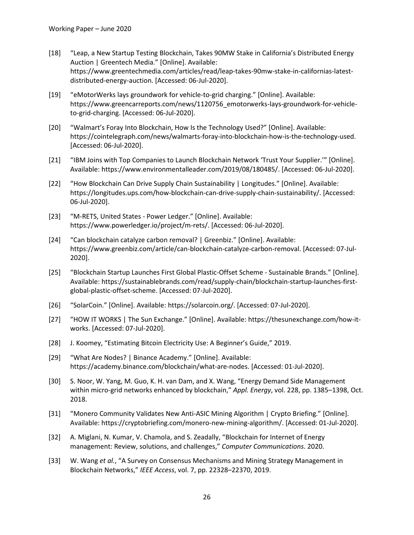- [18] "Leap, a New Startup Testing Blockchain, Takes 90MW Stake in California's Distributed Energy Auction | Greentech Media." [Online]. Available: https://www.greentechmedia.com/articles/read/leap-takes-90mw-stake-in-californias-latestdistributed-energy-auction. [Accessed: 06-Jul-2020].
- [19] "eMotorWerks lays groundwork for vehicle-to-grid charging." [Online]. Available: https://www.greencarreports.com/news/1120756\_emotorwerks-lays-groundwork-for-vehicleto-grid-charging. [Accessed: 06-Jul-2020].
- [20] "Walmart's Foray Into Blockchain, How Is the Technology Used?" [Online]. Available: https://cointelegraph.com/news/walmarts-foray-into-blockchain-how-is-the-technology-used. [Accessed: 06-Jul-2020].
- [21] "IBM Joins with Top Companies to Launch Blockchain Network 'Trust Your Supplier.'" [Online]. Available: https://www.environmentalleader.com/2019/08/180485/. [Accessed: 06-Jul-2020].
- [22] "How Blockchain Can Drive Supply Chain Sustainability | Longitudes." [Online]. Available: https://longitudes.ups.com/how-blockchain-can-drive-supply-chain-sustainability/. [Accessed: 06-Jul-2020].
- [23] "M-RETS, United States Power Ledger." [Online]. Available: https://www.powerledger.io/project/m-rets/. [Accessed: 06-Jul-2020].
- [24] "Can blockchain catalyze carbon removal? | Greenbiz." [Online]. Available: https://www.greenbiz.com/article/can-blockchain-catalyze-carbon-removal. [Accessed: 07-Jul-2020].
- [25] "Blockchain Startup Launches First Global Plastic-Offset Scheme Sustainable Brands." [Online]. Available: https://sustainablebrands.com/read/supply-chain/blockchain-startup-launches-firstglobal-plastic-offset-scheme. [Accessed: 07-Jul-2020].
- [26] "SolarCoin." [Online]. Available: https://solarcoin.org/. [Accessed: 07-Jul-2020].
- [27] "HOW IT WORKS | The Sun Exchange." [Online]. Available: https://thesunexchange.com/how-itworks. [Accessed: 07-Jul-2020].
- [28] J. Koomey, "Estimating Bitcoin Electricity Use: A Beginner's Guide," 2019.
- [29] "What Are Nodes? | Binance Academy." [Online]. Available: https://academy.binance.com/blockchain/what-are-nodes. [Accessed: 01-Jul-2020].
- [30] S. Noor, W. Yang, M. Guo, K. H. van Dam, and X. Wang, "Energy Demand Side Management within micro-grid networks enhanced by blockchain," *Appl. Energy*, vol. 228, pp. 1385–1398, Oct. 2018.
- [31] "Monero Community Validates New Anti-ASIC Mining Algorithm | Crypto Briefing." [Online]. Available: https://cryptobriefing.com/monero-new-mining-algorithm/. [Accessed: 01-Jul-2020].
- [32] A. Miglani, N. Kumar, V. Chamola, and S. Zeadally, "Blockchain for Internet of Energy management: Review, solutions, and challenges," *Computer Communications*. 2020.
- [33] W. Wang *et al.*, "A Survey on Consensus Mechanisms and Mining Strategy Management in Blockchain Networks," *IEEE Access*, vol. 7, pp. 22328–22370, 2019.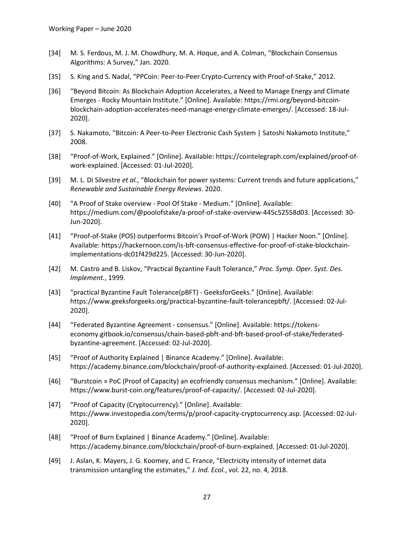- [34] M. S. Ferdous, M. J. M. Chowdhury, M. A. Hoque, and A. Colman, "Blockchain Consensus Algorithms: A Survey," Jan. 2020.
- [35] S. King and S. Nadal, "PPCoin: Peer-to-Peer Crypto-Currency with Proof-of-Stake," 2012.
- [36] "Beyond Bitcoin: As Blockchain Adoption Accelerates, a Need to Manage Energy and Climate Emerges - Rocky Mountain Institute." [Online]. Available: https://rmi.org/beyond-bitcoinblockchain-adoption-accelerates-need-manage-energy-climate-emerges/. [Accessed: 18-Jul-2020].
- [37] S. Nakamoto, "Bitcoin: A Peer-to-Peer Electronic Cash System | Satoshi Nakamoto Institute," 2008.
- [38] "Proof-of-Work, Explained." [Online]. Available: https://cointelegraph.com/explained/proof-ofwork-explained. [Accessed: 01-Jul-2020].
- [39] M. L. Di Silvestre *et al.*, "Blockchain for power systems: Current trends and future applications," *Renewable and Sustainable Energy Reviews*. 2020.
- [40] "A Proof of Stake overview Pool Of Stake Medium." [Online]. Available: https://medium.com/@poolofstake/a-proof-of-stake-overview-445c52558d03. [Accessed: 30- Jun-2020].
- [41] "Proof-of-Stake (POS) outperforms Bitcoin's Proof-of-Work (POW) | Hacker Noon." [Online]. Available: https://hackernoon.com/is-bft-consensus-effective-for-proof-of-stake-blockchainimplementations-dc01f429d225. [Accessed: 30-Jun-2020].
- [42] M. Castro and B. Liskov, "Practical Byzantine Fault Tolerance," *Proc. Symp. Oper. Syst. Des. Implement.*, 1999.
- [43] "practical Byzantine Fault Tolerance(pBFT) GeeksforGeeks." [Online]. Available: https://www.geeksforgeeks.org/practical-byzantine-fault-tolerancepbft/. [Accessed: 02-Jul-2020].
- [44] "Federated Byzantine Agreement consensus." [Online]. Available: https://tokenseconomy.gitbook.io/consensus/chain-based-pbft-and-bft-based-proof-of-stake/federatedbyzantine-agreement. [Accessed: 02-Jul-2020].
- [45] "Proof of Authority Explained | Binance Academy." [Online]. Available: https://academy.binance.com/blockchain/proof-of-authority-explained. [Accessed: 01-Jul-2020].
- [46] "Burstcoin » PoC (Proof of Capacity) an ecofriendly consensus mechanism." [Online]. Available: https://www.burst-coin.org/features/proof-of-capacity/. [Accessed: 02-Jul-2020].
- [47] "Proof of Capacity (Cryptocurrency)." [Online]. Available: https://www.investopedia.com/terms/p/proof-capacity-cryptocurrency.asp. [Accessed: 02-Jul-2020].
- [48] "Proof of Burn Explained | Binance Academy." [Online]. Available: https://academy.binance.com/blockchain/proof-of-burn-explained. [Accessed: 01-Jul-2020].
- [49] J. Aslan, K. Mayers, J. G. Koomey, and C. France, "Electricity intensity of internet data transmission untangling the estimates," *J. Ind. Ecol.*, vol. 22, no. 4, 2018.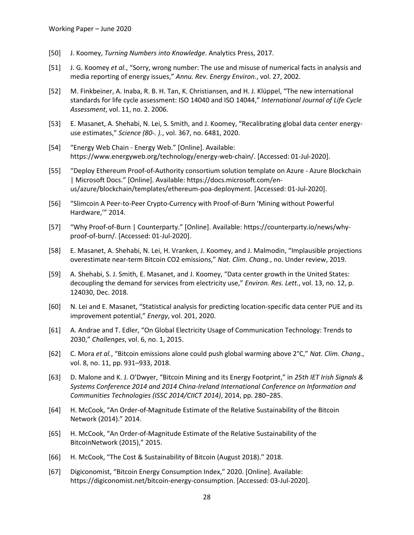- [50] J. Koomey, *Turning Numbers into Knowledge*. Analytics Press, 2017.
- [51] J. G. Koomey *et al.*, "Sorry, wrong number: The use and misuse of numerical facts in analysis and media reporting of energy issues," *Annu. Rev. Energy Environ.*, vol. 27, 2002.
- [52] M. Finkbeiner, A. Inaba, R. B. H. Tan, K. Christiansen, and H. J. Klüppel, "The new international standards for life cycle assessment: ISO 14040 and ISO 14044," *International Journal of Life Cycle Assessment*, vol. 11, no. 2. 2006.
- [53] E. Masanet, A. Shehabi, N. Lei, S. Smith, and J. Koomey, "Recalibrating global data center energyuse estimates," *Science (80-. ).*, vol. 367, no. 6481, 2020.
- [54] "Energy Web Chain Energy Web." [Online]. Available: https://www.energyweb.org/technology/energy-web-chain/. [Accessed: 01-Jul-2020].
- [55] "Deploy Ethereum Proof-of-Authority consortium solution template on Azure Azure Blockchain | Microsoft Docs." [Online]. Available: https://docs.microsoft.com/enus/azure/blockchain/templates/ethereum-poa-deployment. [Accessed: 01-Jul-2020].
- [56] "Slimcoin A Peer-to-Peer Crypto-Currency with Proof-of-Burn 'Mining without Powerful Hardware,'" 2014.
- [57] "Why Proof-of-Burn | Counterparty." [Online]. Available: https://counterparty.io/news/whyproof-of-burn/. [Accessed: 01-Jul-2020].
- [58] E. Masanet, A. Shehabi, N. Lei, H. Vranken, J. Koomey, and J. Malmodin, "Implausible projections overestimate near-term Bitcoin CO2 emissions," *Nat. Clim. Chang.*, no. Under review, 2019.
- [59] A. Shehabi, S. J. Smith, E. Masanet, and J. Koomey, "Data center growth in the United States: decoupling the demand for services from electricity use," *Environ. Res. Lett.*, vol. 13, no. 12, p. 124030, Dec. 2018.
- [60] N. Lei and E. Masanet, "Statistical analysis for predicting location-specific data center PUE and its improvement potential," *Energy*, vol. 201, 2020.
- [61] A. Andrae and T. Edler, "On Global Electricity Usage of Communication Technology: Trends to 2030," *Challenges*, vol. 6, no. 1, 2015.
- [62] C. Mora *et al.*, "Bitcoin emissions alone could push global warming above 2°C," *Nat. Clim. Chang.*, vol. 8, no. 11, pp. 931–933, 2018.
- [63] D. Malone and K. J. O'Dwyer, "Bitcoin Mining and its Energy Footprint," in *25th IET Irish Signals & Systems Conference 2014 and 2014 China-Ireland International Conference on Information and Communities Technologies (ISSC 2014/CIICT 2014)*, 2014, pp. 280–285.
- [64] H. McCook, "An Order-of-Magnitude Estimate of the Relative Sustainability of the Bitcoin Network (2014)." 2014.
- [65] H. McCook, "An Order-of-Magnitude Estimate of the Relative Sustainability of the BitcoinNetwork (2015)," 2015.
- [66] H. McCook, "The Cost & Sustainability of Bitcoin (August 2018)." 2018.
- [67] Digiconomist, "Bitcoin Energy Consumption Index," 2020. [Online]. Available: https://digiconomist.net/bitcoin-energy-consumption. [Accessed: 03-Jul-2020].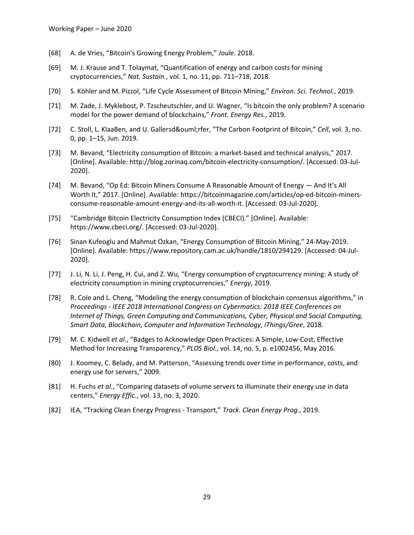- [68] A. de Vries, "Bitcoin's Growing Energy Problem," *Joule*. 2018.
- [69] M. J. Krause and T. Tolaymat, "Quantification of energy and carbon costs for mining cryptocurrencies," *Nat. Sustain.*, vol. 1, no. 11, pp. 711–718, 2018.
- [70] S. Köhler and M. Pizzol, "Life Cycle Assessment of Bitcoin Mining," *Environ. Sci. Technol.*, 2019.
- [71] M. Zade, J. Myklebost, P. Tzscheutschler, and U. Wagner, "Is bitcoin the only problem? A scenario model for the power demand of blockchains," *Front. Energy Res.*, 2019.
- [72] C. Stoll, L. KlaaBen, and U. Gallersdörfer, "The Carbon Footprint of Bitcoin," Cell, vol. 3, no. 0, pp. 1–15, Jun. 2019.
- [73] M. Bevand, "Electricity consumption of Bitcoin: a market-based and technical analysis," 2017. [Online]. Available: http://blog.zorinaq.com/bitcoin-electricity-consumption/. [Accessed: 03-Jul-2020].
- [74] M. Bevand, "Op Ed: Bitcoin Miners Consume A Reasonable Amount of Energy And It's All Worth It," 2017. [Online]. Available: https://bitcoinmagazine.com/articles/op-ed-bitcoin-minersconsume-reasonable-amount-energy-and-its-all-worth-it. [Accessed: 03-Jul-2020].
- [75] "Cambridge Bitcoin Electricity Consumption Index (CBECI)." [Online]. Available: https://www.cbeci.org/. [Accessed: 03-Jul-2020].
- [76] Sinan Kufeoglu and Mahmut Ozkan, "Energy Consumption of Bitcoin Mining," 24-May-2019. [Online]. Available: https://www.repository.cam.ac.uk/handle/1810/294129. [Accessed: 04-Jul-2020].
- [77] J. Li, N. Li, J. Peng, H. Cui, and Z. Wu, "Energy consumption of cryptocurrency mining: A study of electricity consumption in mining cryptocurrencies," *Energy*, 2019.
- [78] R. Cole and L. Cheng, "Modeling the energy consumption of blockchain consensus algorithms," in *Proceedings - IEEE 2018 International Congress on Cybermatics: 2018 IEEE Conferences on Internet of Things, Green Computing and Communications, Cyber, Physical and Social Computing, Smart Data, Blockchain, Computer and Information Technology, iThings/Gree*, 2018.
- [79] M. C. Kidwell *et al.*, "Badges to Acknowledge Open Practices: A Simple, Low-Cost, Effective Method for Increasing Transparency," *PLOS Biol.*, vol. 14, no. 5, p. e1002456, May 2016.
- [80] J. Koomey, C. Belady, and M. Patterson, "Assessing trends over time in performance, costs, and energy use for servers," 2009.
- [81] H. Fuchs *et al.*, "Comparing datasets of volume servers to illuminate their energy use in data centers," *Energy Effic.*, vol. 13, no. 3, 2020.
- [82] IEA, "Tracking Clean Energy Progress Transport," *Track. Clean Energy Prog.*, 2019.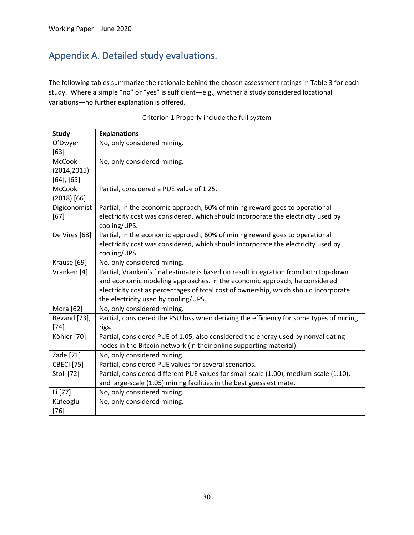# Appendix A. Detailed study evaluations.

The following tables summarize the rationale behind the chosen assessment ratings in Table 3 for each study. Where a simple "no" or "yes" is sufficient—e.g., whether a study considered locational variations—no further explanation is offered.

| <b>Study</b>      | <b>Explanations</b>                                                                    |
|-------------------|----------------------------------------------------------------------------------------|
| O'Dwyer           | No, only considered mining.                                                            |
| $[63]$            |                                                                                        |
| <b>McCook</b>     | No, only considered mining.                                                            |
| (2014, 2015)      |                                                                                        |
| $[64]$ , $[65]$   |                                                                                        |
| <b>McCook</b>     | Partial, considered a PUE value of 1.25.                                               |
| $(2018)$ [66]     |                                                                                        |
| Digiconomist      | Partial, in the economic approach, 60% of mining reward goes to operational            |
| $[67]$            | electricity cost was considered, which should incorporate the electricity used by      |
|                   | cooling/UPS.                                                                           |
| De Vires [68]     | Partial, in the economic approach, 60% of mining reward goes to operational            |
|                   | electricity cost was considered, which should incorporate the electricity used by      |
|                   | cooling/UPS.                                                                           |
| Krause [69]       | No, only considered mining.                                                            |
| Vranken [4]       | Partial, Vranken's final estimate is based on result integration from both top-down    |
|                   | and economic modeling approaches. In the economic approach, he considered              |
|                   | electricity cost as percentages of total cost of ownership, which should incorporate   |
|                   | the electricity used by cooling/UPS.                                                   |
| Mora [62]         | No, only considered mining.                                                            |
| Bevand [73],      | Partial, considered the PSU loss when deriving the efficiency for some types of mining |
| $[74]$            | rigs.                                                                                  |
| Köhler [70]       | Partial, considered PUE of 1.05, also considered the energy used by nonvalidating      |
|                   | nodes in the Bitcoin network (in their online supporting material).                    |
| Zade [71]         | No, only considered mining.                                                            |
| <b>CBECI</b> [75] | Partial, considered PUE values for several scenarios.                                  |
| <b>Stoll</b> [72] | Partial, considered different PUE values for small-scale (1.00), medium-scale (1.10),  |
|                   | and large-scale (1.05) mining facilities in the best guess estimate.                   |
| Li [77]           | No, only considered mining.                                                            |
| Küfeoglu          | No, only considered mining.                                                            |
| $[76]$            |                                                                                        |

#### Criterion 1 Properly include the full system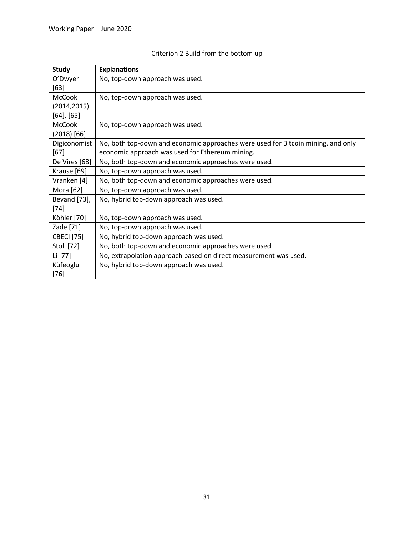| <b>Study</b>      | <b>Explanations</b>                                                              |
|-------------------|----------------------------------------------------------------------------------|
| O'Dwyer           | No, top-down approach was used.                                                  |
| $[63]$            |                                                                                  |
| <b>McCook</b>     | No, top-down approach was used.                                                  |
| (2014, 2015)      |                                                                                  |
| $[64]$ , $[65]$   |                                                                                  |
| <b>McCook</b>     | No, top-down approach was used.                                                  |
| $(2018)$ [66]     |                                                                                  |
| Digiconomist      | No, both top-down and economic approaches were used for Bitcoin mining, and only |
| $[67]$            | economic approach was used for Ethereum mining.                                  |
| De Vires [68]     | No, both top-down and economic approaches were used.                             |
| Krause [69]       | No, top-down approach was used.                                                  |
| Vranken [4]       | No, both top-down and economic approaches were used.                             |
| Mora [62]         | No, top-down approach was used.                                                  |
| Bevand [73],      | No, hybrid top-down approach was used.                                           |
| $[74]$            |                                                                                  |
| Köhler [70]       | No, top-down approach was used.                                                  |
| Zade [71]         | No, top-down approach was used.                                                  |
| <b>CBECI</b> [75] | No, hybrid top-down approach was used.                                           |
| <b>Stoll</b> [72] | No, both top-down and economic approaches were used.                             |
| Li [77]           | No, extrapolation approach based on direct measurement was used.                 |
| Küfeoglu          | No, hybrid top-down approach was used.                                           |
| $[76]$            |                                                                                  |

# Criterion 2 Build from the bottom up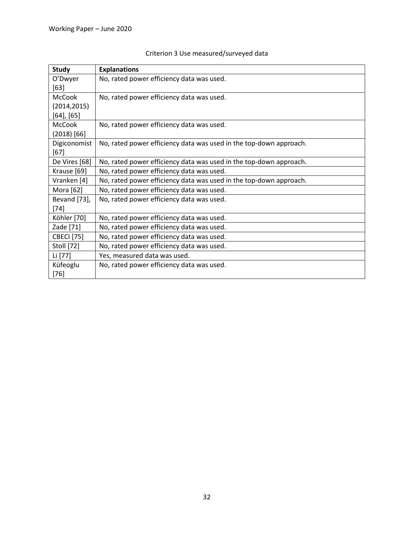| Study             | <b>Explanations</b>                                                |
|-------------------|--------------------------------------------------------------------|
| O'Dwyer           | No, rated power efficiency data was used.                          |
| $[63]$            |                                                                    |
| <b>McCook</b>     | No, rated power efficiency data was used.                          |
| (2014, 2015)      |                                                                    |
| $[64]$ , $[65]$   |                                                                    |
| <b>McCook</b>     | No, rated power efficiency data was used.                          |
| $(2018)$ [66]     |                                                                    |
| Digiconomist      | No, rated power efficiency data was used in the top-down approach. |
| $[67]$            |                                                                    |
| De Vires [68]     | No, rated power efficiency data was used in the top-down approach. |
| Krause [69]       | No, rated power efficiency data was used.                          |
| Vranken [4]       | No, rated power efficiency data was used in the top-down approach. |
| Mora [62]         | No, rated power efficiency data was used.                          |
| Bevand [73],      | No, rated power efficiency data was used.                          |
| $[74]$            |                                                                    |
| Köhler [70]       | No, rated power efficiency data was used.                          |
| Zade [71]         | No, rated power efficiency data was used.                          |
| <b>CBECI</b> [75] | No, rated power efficiency data was used.                          |
| Stoll [72]        | No, rated power efficiency data was used.                          |
| Li [77]           | Yes, measured data was used.                                       |
| Küfeoglu          | No, rated power efficiency data was used.                          |
| $[76]$            |                                                                    |

# Criterion 3 Use measured/surveyed data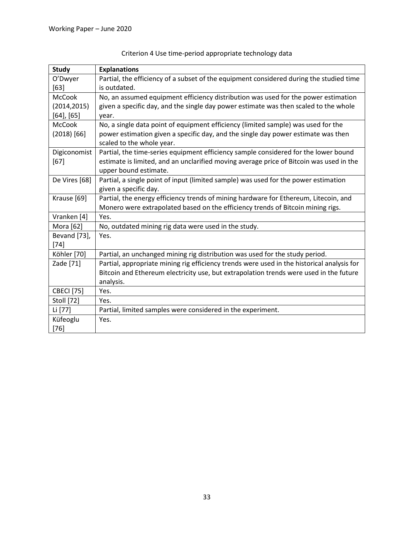| <b>Study</b>      | <b>Explanations</b>                                                                        |
|-------------------|--------------------------------------------------------------------------------------------|
| O'Dwyer           | Partial, the efficiency of a subset of the equipment considered during the studied time    |
| $[63]$            | is outdated.                                                                               |
| <b>McCook</b>     | No, an assumed equipment efficiency distribution was used for the power estimation         |
| (2014, 2015)      | given a specific day, and the single day power estimate was then scaled to the whole       |
| $[64]$ , $[65]$   | year.                                                                                      |
| <b>McCook</b>     | No, a single data point of equipment efficiency (limited sample) was used for the          |
| $(2018)$ [66]     | power estimation given a specific day, and the single day power estimate was then          |
|                   | scaled to the whole year.                                                                  |
| Digiconomist      | Partial, the time-series equipment efficiency sample considered for the lower bound        |
| $[67]$            | estimate is limited, and an unclarified moving average price of Bitcoin was used in the    |
|                   | upper bound estimate.                                                                      |
| De Vires [68]     | Partial, a single point of input (limited sample) was used for the power estimation        |
|                   | given a specific day.                                                                      |
| Krause [69]       | Partial, the energy efficiency trends of mining hardware for Ethereum, Litecoin, and       |
|                   | Monero were extrapolated based on the efficiency trends of Bitcoin mining rigs.            |
| Vranken [4]       | Yes.                                                                                       |
| Mora [62]         | No, outdated mining rig data were used in the study.                                       |
| Bevand [73],      | Yes.                                                                                       |
| $[74]$            |                                                                                            |
| Köhler [70]       | Partial, an unchanged mining rig distribution was used for the study period.               |
| Zade [71]         | Partial, appropriate mining rig efficiency trends were used in the historical analysis for |
|                   | Bitcoin and Ethereum electricity use, but extrapolation trends were used in the future     |
|                   | analysis.                                                                                  |
| <b>CBECI</b> [75] | Yes.                                                                                       |
| Stoll [72]        | Yes.                                                                                       |
| Li [77]           | Partial, limited samples were considered in the experiment.                                |
| Küfeoglu          | Yes.                                                                                       |
| $[76]$            |                                                                                            |

# Criterion 4 Use time-period appropriate technology data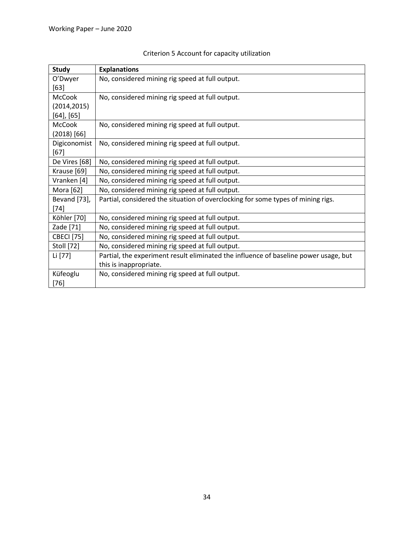| <b>Study</b>      | <b>Explanations</b>                                                                  |
|-------------------|--------------------------------------------------------------------------------------|
| O'Dwyer           | No, considered mining rig speed at full output.                                      |
| [63]              |                                                                                      |
| <b>McCook</b>     | No, considered mining rig speed at full output.                                      |
| (2014, 2015)      |                                                                                      |
| $[64]$ , $[65]$   |                                                                                      |
| <b>McCook</b>     | No, considered mining rig speed at full output.                                      |
| $(2018)$ [66]     |                                                                                      |
| Digiconomist      | No, considered mining rig speed at full output.                                      |
| $[67]$            |                                                                                      |
| De Vires [68]     | No, considered mining rig speed at full output.                                      |
| Krause [69]       | No, considered mining rig speed at full output.                                      |
| Vranken [4]       | No, considered mining rig speed at full output.                                      |
| Mora [62]         | No, considered mining rig speed at full output.                                      |
| Bevand [73],      | Partial, considered the situation of overclocking for some types of mining rigs.     |
| $[74]$            |                                                                                      |
| Köhler [70]       | No, considered mining rig speed at full output.                                      |
| Zade [71]         | No, considered mining rig speed at full output.                                      |
| <b>CBECI</b> [75] | No, considered mining rig speed at full output.                                      |
| Stoll [72]        | No, considered mining rig speed at full output.                                      |
| Li [77]           | Partial, the experiment result eliminated the influence of baseline power usage, but |
|                   | this is inappropriate.                                                               |
| Küfeoglu          | No, considered mining rig speed at full output.                                      |
| $[76]$            |                                                                                      |

# Criterion 5 Account for capacity utilization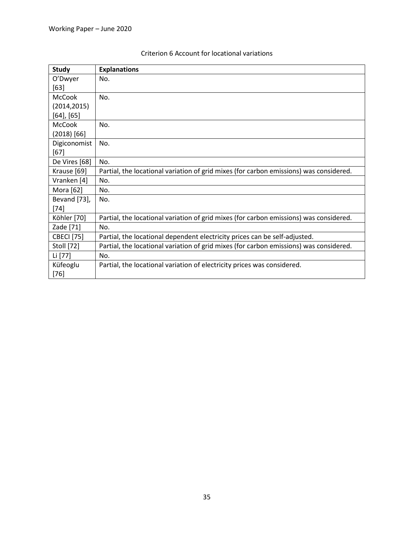| <b>Study</b>      | <b>Explanations</b>                                                                    |
|-------------------|----------------------------------------------------------------------------------------|
| O'Dwyer           | No.                                                                                    |
| $[63]$            |                                                                                        |
| <b>McCook</b>     | No.                                                                                    |
| (2014, 2015)      |                                                                                        |
| $[64]$ , $[65]$   |                                                                                        |
| <b>McCook</b>     | No.                                                                                    |
| $(2018)$ [66]     |                                                                                        |
| Digiconomist      | No.                                                                                    |
| $[67]$            |                                                                                        |
| De Vires [68]     | No.                                                                                    |
| Krause [69]       | Partial, the locational variation of grid mixes (for carbon emissions) was considered. |
| Vranken [4]       | No.                                                                                    |
| Mora [62]         | No.                                                                                    |
| Bevand [73],      | No.                                                                                    |
| $[74]$            |                                                                                        |
| Köhler [70]       | Partial, the locational variation of grid mixes (for carbon emissions) was considered. |
| Zade [71]         | No.                                                                                    |
| <b>CBECI</b> [75] | Partial, the locational dependent electricity prices can be self-adjusted.             |
| Stoll [72]        | Partial, the locational variation of grid mixes (for carbon emissions) was considered. |
| Li [77]           | No.                                                                                    |
| Küfeoglu          | Partial, the locational variation of electricity prices was considered.                |
| $[76]$            |                                                                                        |

### Criterion 6 Account for locational variations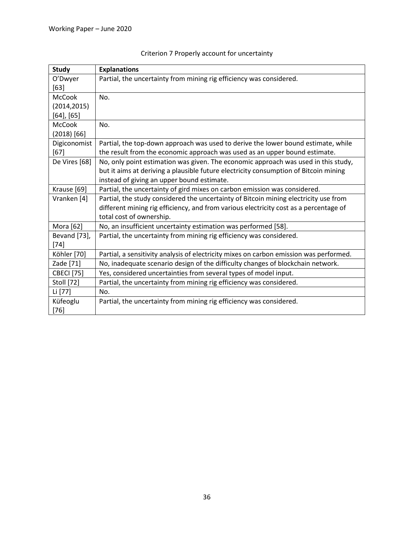| <b>Study</b>      | <b>Explanations</b>                                                                    |
|-------------------|----------------------------------------------------------------------------------------|
| O'Dwyer           | Partial, the uncertainty from mining rig efficiency was considered.                    |
| $[63]$            |                                                                                        |
| <b>McCook</b>     | No.                                                                                    |
| (2014, 2015)      |                                                                                        |
| $[64]$ , $[65]$   |                                                                                        |
| <b>McCook</b>     | No.                                                                                    |
| $(2018)$ [66]     |                                                                                        |
| Digiconomist      | Partial, the top-down approach was used to derive the lower bound estimate, while      |
| $[67]$            | the result from the economic approach was used as an upper bound estimate.             |
| De Vires [68]     | No, only point estimation was given. The economic approach was used in this study,     |
|                   | but it aims at deriving a plausible future electricity consumption of Bitcoin mining   |
|                   | instead of giving an upper bound estimate.                                             |
| Krause [69]       | Partial, the uncertainty of gird mixes on carbon emission was considered.              |
| Vranken [4]       | Partial, the study considered the uncertainty of Bitcoin mining electricity use from   |
|                   | different mining rig efficiency, and from various electricity cost as a percentage of  |
|                   | total cost of ownership.                                                               |
| Mora [62]         | No, an insufficient uncertainty estimation was performed [58].                         |
| Bevand [73],      | Partial, the uncertainty from mining rig efficiency was considered.                    |
| $[74]$            |                                                                                        |
| Köhler [70]       | Partial, a sensitivity analysis of electricity mixes on carbon emission was performed. |
| Zade [71]         | No, inadequate scenario design of the difficulty changes of blockchain network.        |
| <b>CBECI</b> [75] | Yes, considered uncertainties from several types of model input.                       |
| Stoll [72]        | Partial, the uncertainty from mining rig efficiency was considered.                    |
| Li [77]           | No.                                                                                    |
| Küfeoglu          | Partial, the uncertainty from mining rig efficiency was considered.                    |
| $[76]$            |                                                                                        |

# Criterion 7 Properly account for uncertainty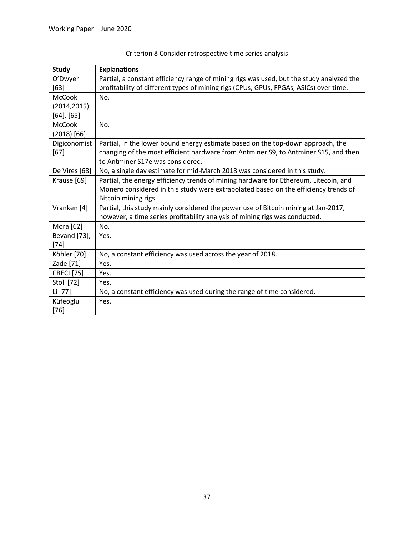| <b>Study</b>      | <b>Explanations</b>                                                                      |
|-------------------|------------------------------------------------------------------------------------------|
| O'Dwyer           | Partial, a constant efficiency range of mining rigs was used, but the study analyzed the |
| $[63]$            | profitability of different types of mining rigs (CPUs, GPUs, FPGAs, ASICs) over time.    |
| <b>McCook</b>     | No.                                                                                      |
| (2014, 2015)      |                                                                                          |
| $[64]$ , $[65]$   |                                                                                          |
| <b>McCook</b>     | No.                                                                                      |
| $(2018)$ [66]     |                                                                                          |
| Digiconomist      | Partial, in the lower bound energy estimate based on the top-down approach, the          |
| $[67]$            | changing of the most efficient hardware from Antminer S9, to Antminer S15, and then      |
|                   | to Antminer S17e was considered.                                                         |
| De Vires [68]     | No, a single day estimate for mid-March 2018 was considered in this study.               |
| Krause [69]       | Partial, the energy efficiency trends of mining hardware for Ethereum, Litecoin, and     |
|                   | Monero considered in this study were extrapolated based on the efficiency trends of      |
|                   | Bitcoin mining rigs.                                                                     |
| Vranken [4]       | Partial, this study mainly considered the power use of Bitcoin mining at Jan-2017,       |
|                   | however, a time series profitability analysis of mining rigs was conducted.              |
| Mora [62]         | No.                                                                                      |
| Bevand [73],      | Yes.                                                                                     |
| $[74]$            |                                                                                          |
| Köhler [70]       | No, a constant efficiency was used across the year of 2018.                              |
| Zade [71]         | Yes.                                                                                     |
| <b>CBECI</b> [75] | Yes.                                                                                     |
| Stoll [72]        | Yes.                                                                                     |
| Li [77]           | No, a constant efficiency was used during the range of time considered.                  |
| Küfeoglu          | Yes.                                                                                     |
| $[76]$            |                                                                                          |

# Criterion 8 Consider retrospective time series analysis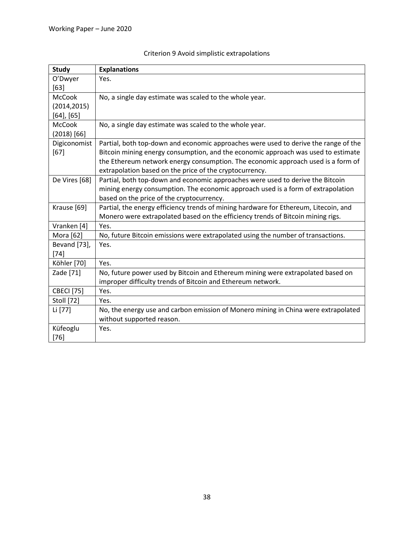| <b>Study</b>      | <b>Explanations</b>                                                                  |
|-------------------|--------------------------------------------------------------------------------------|
| O'Dwyer           | Yes.                                                                                 |
| $[63]$            |                                                                                      |
| <b>McCook</b>     | No, a single day estimate was scaled to the whole year.                              |
| (2014, 2015)      |                                                                                      |
| $[64]$ , $[65]$   |                                                                                      |
| <b>McCook</b>     | No, a single day estimate was scaled to the whole year.                              |
| $(2018)$ [66]     |                                                                                      |
| Digiconomist      | Partial, both top-down and economic approaches were used to derive the range of the  |
| $[67]$            | Bitcoin mining energy consumption, and the economic approach was used to estimate    |
|                   | the Ethereum network energy consumption. The economic approach used is a form of     |
|                   | extrapolation based on the price of the cryptocurrency.                              |
| De Vires [68]     | Partial, both top-down and economic approaches were used to derive the Bitcoin       |
|                   | mining energy consumption. The economic approach used is a form of extrapolation     |
|                   | based on the price of the cryptocurrency.                                            |
| Krause [69]       | Partial, the energy efficiency trends of mining hardware for Ethereum, Litecoin, and |
|                   | Monero were extrapolated based on the efficiency trends of Bitcoin mining rigs.      |
| Vranken [4]       | Yes.                                                                                 |
| Mora [62]         | No, future Bitcoin emissions were extrapolated using the number of transactions.     |
| Bevand [73],      | Yes.                                                                                 |
| $[74]$            |                                                                                      |
| Köhler [70]       | Yes.                                                                                 |
| Zade [71]         | No, future power used by Bitcoin and Ethereum mining were extrapolated based on      |
|                   | improper difficulty trends of Bitcoin and Ethereum network.                          |
| <b>CBECI</b> [75] | Yes.                                                                                 |
| <b>Stoll</b> [72] | Yes.                                                                                 |
| Li [77]           | No, the energy use and carbon emission of Monero mining in China were extrapolated   |
|                   | without supported reason.                                                            |
| Küfeoglu          | Yes.                                                                                 |
| $[76]$            |                                                                                      |

# Criterion 9 Avoid simplistic extrapolations